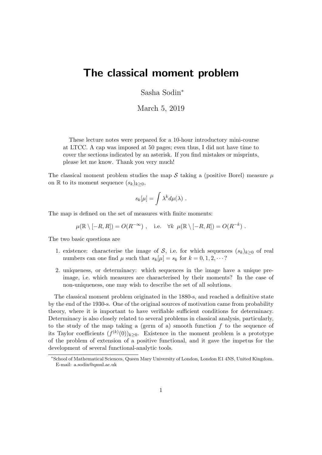# The classical moment problem

Sasha Sodin<sup>∗</sup>

March 5, 2019

These lecture notes were prepared for a 10-hour introductory mini-course at LTCC. A cap was imposed at 50 pages; even thus, I did not have time to cover the sections indicated by an asterisk. If you find mistakes or misprints, please let me know. Thank you very much!

The classical moment problem studies the map S taking a (positive Borel) measure  $\mu$ on R to its moment sequence  $(s_k)_{k\geq 0}$ ,

$$
s_k[\mu] = \int \lambda^k d\mu(\lambda) .
$$

The map is defined on the set of measures with finite moments:

$$
\mu(\mathbb{R} \setminus [-R, R]) = O(R^{-\infty}), \quad \text{i.e.} \quad \forall k \ \mu(\mathbb{R} \setminus [-R, R]) = O(R^{-k}).
$$

The two basic questions are

- 1. existence: characterise the image of S, i.e. for which sequences  $(s_k)_{k\geq 0}$  of real numbers can one find  $\mu$  such that  $s_k[\mu] = s_k$  for  $k = 0, 1, 2, \dots$ ?
- 2. uniqueness, or determinacy: which sequences in the image have a unique preimage, i.e. which measures are characterised by their moments? In the case of non-uniqueness, one may wish to describe the set of all solutions.

The classical moment problem originated in the 1880-s, and reached a definitive state by the end of the 1930-s. One of the original sources of motivation came from probability theory, where it is important to have verifiable sufficient conditions for determinacy. Determinacy is also closely related to several problems in classical analysis, particularly, to the study of the map taking a (germ of a) smooth function  $f$  to the sequence of its Taylor coefficients  $(f^{(k)}(0))_{k\geq 0}$ . Existence in the moment problem is a prototype of the problem of extension of a positive functional, and it gave the impetus for the development of several functional-analytic tools.

<sup>∗</sup>School of Mathematical Sciences, Queen Mary University of London, London E1 4NS, United Kingdom. E-mail: a.sodin@qmul.ac.uk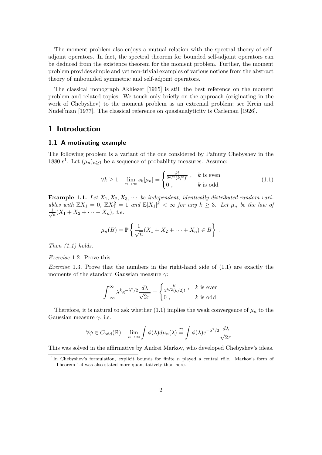The moment problem also enjoys a mutual relation with the spectral theory of selfadjoint operators. In fact, the spectral theorem for bounded self-adjoint operators can be deduced from the existence theorem for the moment problem. Further, the moment problem provides simple and yet non-trivial examples of various notions from the abstract theory of unbounded symmetric and self-adjoint operators.

The classical monograph Akhiezer [1965] is still the best reference on the moment problem and related topics. We touch only briefly on the approach (originating in the work of Chebyshev) to the moment problem as an extremal problem; see Krein and Nudel'man  $[1977]$ . The classical reference on quasianalyticity is Carleman  $[1926]$ .

# 1 Introduction

#### 1.1 A motivating example

The following problem is a variant of the one considered by Pafnuty Chebyshev in the 1880-s<sup>1</sup>. Let  $(\mu_n)_{n\geq 1}$  be a sequence of probability measures. Assume:

$$
\forall k \ge 1 \quad \lim_{n \to \infty} s_k[\mu_n] = \begin{cases} \frac{k!}{2^{k/2}(k/2)!}, & k \text{ is even} \\ 0, & k \text{ is odd} \end{cases}
$$
(1.1)

**Example 1.1.** Let  $X_1, X_2, X_3, \cdots$  be independent, identically distributed random variables with  $\mathbb{E}X_1 = 0$ ,  $\mathbb{E}X_1^2 = 1$  and  $\mathbb{E}|X_1|^k < \infty$  for any  $k \geq 3$ . Let  $\mu_n$  be the law of  $\frac{1}{\sqrt{2}}$  $\frac{1}{n}(X_1 + X_2 + \cdots + X_n), i.e.$ 

$$
\mu_n(B) = \mathbb{P}\left\{\frac{1}{\sqrt{n}}(X_1 + X_2 + \dots + X_n) \in B\right\}.
$$

Then  $(1.1)$  holds.

Exercise 1.2. Prove this.

*Exercise* 1.3. Prove that the numbers in the right-hand side of  $(1.1)$  are exactly the moments of the standard Gaussian measure  $\gamma$ :

$$
\int_{-\infty}^{\infty} \lambda^k e^{-\lambda^2/2} \frac{d\lambda}{\sqrt{2\pi}} = \begin{cases} \frac{k!}{2^{k/2}(k/2)!} , & k \text{ is even} \\ 0 , & k \text{ is odd} \end{cases}
$$

Therefore, it is natural to ask whether (1.1) implies the weak convergence of  $\mu_n$  to the Gaussian measure  $\gamma$ , i.e.

$$
\forall \phi \in C_{\text{bdd}}(\mathbb{R}) \quad \lim_{n \to \infty} \int \phi(\lambda) d\mu_n(\lambda) \stackrel{??}{=} \int \phi(\lambda) e^{-\lambda^2/2} \frac{d\lambda}{\sqrt{2\pi}}
$$

.

This was solved in the affirmative by Andrei Markov, who developed Chebyshev's ideas.

<sup>&</sup>lt;sup>1</sup>In Chebyshev's formulation, explicit bounds for finite n played a central rôle. Markov's form of Theorem 1.4 was also stated more quantitatively than here.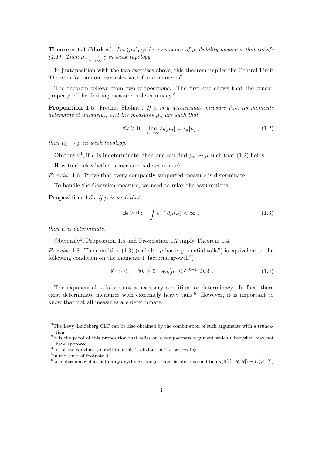**Theorem 1.4** (Markov). Let  $(\mu_n)_{n\geq 1}$  be a sequence of probability measures that satisfy (1.1). Then  $\mu_n \longrightarrow_{\infty} \gamma$  in weak topology.

In juxtaposition with the two exercises above, this theorem implies the Central Limit Theorem for random variables with finite moments<sup>2</sup>.

The theorem follows from two propositions. The first one shows that the crucial property of the limiting measure is determinacy.<sup>3</sup>

**Proposition 1.5** (Fréchet–Shohat). If  $\mu$  is a determinate measure (i.e. its moments determine it uniquely), and the measures  $\mu_n$  are such that

$$
\forall k \ge 0 \quad \lim_{n \to \infty} s_k[\mu_n] = s_k[\mu], \qquad (1.2)
$$

then  $\mu_n \to \mu$  in weak topology.

Obviously<sup>4</sup>, if  $\mu$  is indeterminate, then one can find  $\mu_n \nightharpoonup \mu$  such that (1.2) holds.

How to check whether a measure is determinate?

Exercise 1.6. Prove that every compactly supported measure is determinate.

To handle the Gaussian measure, we need to relax the assumptions.

**Proposition 1.7.** If  $\mu$  is such that

$$
\exists \epsilon > 0: \quad \int e^{\epsilon |\lambda|} d\mu(\lambda) < \infty \;, \tag{1.3}
$$

then  $\mu$  is determinate.

Obviously<sup>5</sup> , Proposition 1.5 and Proposition 1.7 imply Theorem 1.4.

*Exercise* 1.8. The condition (1.3) (called: " $\mu$  has exponential tails") is equivalent to the following condition on the moments ("factorial growth"):

$$
\exists C > 0: \quad \forall k \ge 0 \quad s_{2k}[\mu] \le C^{k+1}(2k)! \ . \tag{1.4}
$$

The exponential tails are not a necessary condition for determinacy. In fact, there exist determinate measures with extremely heavy tails.<sup>6</sup> However, it is important to know that not all measures are determinate.

 $2$ <sup>2</sup>The Lévy–Lindeberg CLT can be also obtained by the combination of such arguments with a truncation.

<sup>&</sup>lt;sup>3</sup>It is the proof of this proposition that relies on a compactness argument which Chebyshev may not have approved.

<sup>&</sup>lt;sup>4</sup> i.e. please convince yourself that this is obvious before proceeding

<sup>&</sup>lt;sup>5</sup>in the sense of footnote 4

<sup>&</sup>lt;sup>6</sup>i.e. determinacy does not imply anything stronger than the obvious condition  $\mu(\mathbb{R}\setminus[-R,R])=O(R^{-\infty})$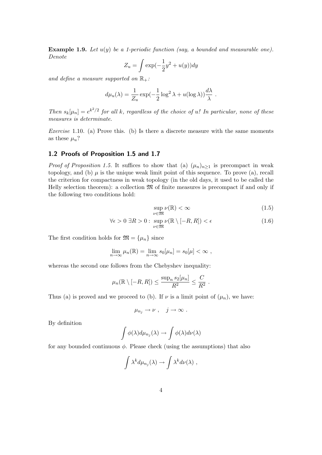**Example 1.9.** Let  $u(y)$  be a 1-periodic function (say, a bounded and measurable one). Denote

$$
Z_u = \int \exp(-\frac{1}{2}y^2 + u(y))dy
$$

and define a measure supported on  $\mathbb{R}_+$ :

$$
d\mu_u(\lambda) = \frac{1}{Z_u} \exp(-\frac{1}{2} \log^2 \lambda + u(\log \lambda)) \frac{d\lambda}{\lambda} .
$$

Then  $s_k[\mu_n] = e^{k^2/2}$  for all k, regardless of the choice of u! In particular, none of these measures is determinate.

Exercise 1.10. (a) Prove this. (b) Is there a discrete measure with the same moments as these  $\mu_u$ ?

#### 1.2 Proofs of Proposition 1.5 and 1.7

*Proof of Proposition 1.5.* It suffices to show that (a)  $(\mu_n)_{n\geq 1}$  is precompact in weak topology, and (b)  $\mu$  is the unique weak limit point of this sequence. To prove (a), recall the criterion for compactness in weak topology (in the old days, it used to be called the Helly selection theorem): a collection  $\mathfrak{M}$  of finite measures is precompact if and only if the following two conditions hold:

$$
\sup_{\nu \in \mathfrak{M}} \nu(\mathbb{R}) < \infty \tag{1.5}
$$

$$
\forall \epsilon > 0 \ \exists R > 0 : \ \sup_{\nu \in \mathfrak{M}} \nu(\mathbb{R} \setminus [-R, R]) < \epsilon \tag{1.6}
$$

The first condition holds for  $\mathfrak{M} = {\mu_n}$  since

$$
\lim_{n\to\infty}\mu_n(\mathbb{R})=\lim_{n\to\infty}s_0[\mu_n]=s_0[\mu]<\infty,
$$

whereas the second one follows from the Chebyshev inequality:

$$
\mu_n(\mathbb{R}\setminus[-R,R])\leq \frac{\sup_n s_2[\mu_n]}{R^2}\leq \frac{C}{R^2}.
$$

Thus (a) is proved and we proceed to (b). If  $\nu$  is a limit point of  $(\mu_n)$ , we have:

$$
\mu_{n_j} \to \nu \; , \quad j \to \infty \; .
$$

By definition

$$
\int \phi(\lambda) d\mu_{n_j}(\lambda) \to \int \phi(\lambda) d\nu(\lambda)
$$

for any bounded continuous  $\phi$ . Please check (using the assumptions) that also

$$
\int \lambda^k d\mu_{n_j}(\lambda) \to \int \lambda^k d\nu(\lambda) ,
$$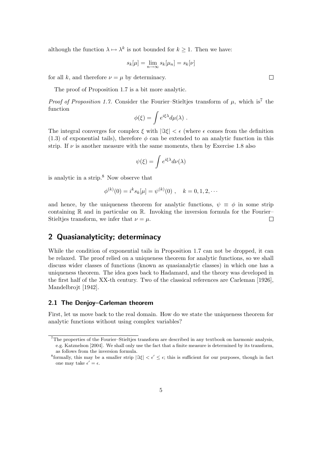although the function  $\lambda \mapsto \lambda^k$  is not bounded for  $k \geq 1$ . Then we have:

$$
s_k[\mu] = \lim_{n \to \infty} s_k[\mu_n] = s_k[\nu]
$$

for all k, and therefore  $\nu = \mu$  by determinacy.

The proof of Proposition 1.7 is a bit more analytic.

*Proof of Proposition 1.7.* Consider the Fourier-Stieltjes transform of  $\mu$ , which is<sup>7</sup> the function

$$
\phi(\xi) = \int e^{i\xi\lambda} d\mu(\lambda) .
$$

The integral converges for complex  $\xi$  with  $|\Im \xi| < \epsilon$  (where  $\epsilon$  comes from the definition  $(1.3)$  of exponential tails), therefore  $\phi$  can be extended to an analytic function in this strip. If  $\nu$  is another measure with the same moments, then by Exercise 1.8 also

$$
\psi(\xi) = \int e^{i\xi\lambda} d\nu(\lambda)
$$

is analytic in a strip.<sup>8</sup> Now observe that

$$
\phi^{(k)}(0) = i^k s_k[\mu] = \psi^{(k)}(0) , \quad k = 0, 1, 2, \cdots
$$

and hence, by the uniqueness theorem for analytic functions,  $\psi \equiv \phi$  in some strip containing  $\mathbb R$  and in particular on  $\mathbb R$ . Invoking the inversion formula for the Fourier– Stieltjes transform, we infer that  $\nu = \mu$ .  $\Box$ 

# 2 Quasianalyticity; determinacy

While the condition of exponential tails in Proposition 1.7 can not be dropped, it can be relaxed. The proof relied on a uniqueness theorem for analytic functions, so we shall discuss wider classes of functions (known as quasianalytic classes) in which one has a uniqueness theorem. The idea goes back to Hadamard, and the theory was developed in the first half of the XX-th century. Two of the classical references are Carleman [1926], Mandelbrojt [1942].

#### 2.1 The Denjoy–Carleman theorem

First, let us move back to the real domain. How do we state the uniqueness theorem for analytic functions without using complex variables?

<sup>&</sup>lt;sup>7</sup>The properties of the Fourier-Stieltjes transform are described in any textbook on harmonic analysis, e.g. Katznelson [2004]. We shall only use the fact that a finite measure is determined by its transform, as follows from the inversion formula.

<sup>&</sup>lt;sup>8</sup> formally, this may be a smaller strip  $|\Im \xi| < \epsilon' \leq \epsilon$ ; this is sufficient for our purposes, though in fact one may take  $\epsilon' = \epsilon$ .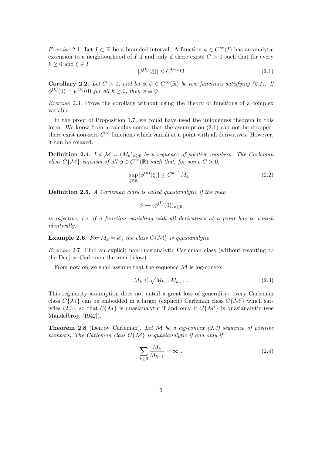Exercise 2.1. Let  $I \subset \mathbb{R}$  be a bounded interval. A function  $\phi \in C^{\infty}(I)$  has an analytic extension to a neighbourhood of I if and only if there exists  $C > 0$  such that for every  $k \geq 0$  and  $\xi \in I$ 

$$
|\phi^{(k)}(\xi)| \le C^{k+1}k! \tag{2.1}
$$

**Corollary 2.2.** Let  $C > 0$ , and let  $\phi, \psi \in C^{\infty}(\mathbb{R})$  be two functions satisfying (2.1). If  $\phi^{(k)}(0) = \psi^{(k)}(0)$  for all  $k \geq 0$ , then  $\phi \equiv \psi$ .

Exercise 2.3. Prove the corollary without using the theory of functions of a complex variable.

In the proof of Proposition 1.7, we could have used the uniqueness theorem in this form. We know from a calculus course that the assumption  $(2.1)$  can not be dropped: there exist non-zero  $C^{\infty}$  functions which vanish at a point with all derivatives. However, it can be relaxed.

**Definition 2.4.** Let  $\mathcal{M} = (M_k)_{k \geq 0}$  be a sequence of positive numbers. The Carleman class  $C\{\mathcal{M}\}\)$  consists of all  $\phi \in C^{\infty}(\mathbb{R})$  such that, for some  $C > 0$ ,

$$
\sup_{\xi \in \mathbb{R}} |\phi^{(k)}(\xi)| \le C^{k+1} M_k \tag{2.2}
$$

Definition 2.5. A Carleman class is called quasianalytic if the map

$$
\phi \mapsto (\phi^{(k)}(0))_{k \ge 0}
$$

is injective, i.e. if a function vanishing with all derivatives at a point has to vanish identically.

**Example 2.6.** For  $M_k = k!$ , the class  $C\{\mathcal{M}\}\$ is quasianalytic.

Exercise 2.7. Find an explicit non-quasianalytic Carleman class (without reverting to the Denjoy–Carleman theorem below).

From now on we shall assume that the sequence  $\mathcal M$  is log-convex:

$$
M_k \le \sqrt{M_{k-1}M_{k+1}} \tag{2.3}
$$

This regularity assumption does not entail a great loss of generality: every Carleman class  $C\{\mathcal{M}\}\$ can be embedded in a larger (explicit) Carleman class  $C\{\mathcal{M}\}\$ which satisfies (2.3), so that  $C\{\mathcal{M}\}\$ is quasianalytic if and only if  $C\{\mathcal{M}'\}$  is quasianalytic (see Mandelbrojt [1942]).

**Theorem 2.8** (Denjoy–Carleman). Let M be a log-convex  $(2.3)$  sequence of positive numbers. The Carleman class  $C\{\mathcal{M}\}\$ is quasianalytic if and only if

$$
\sum_{k\geq 0} \frac{M_k}{M_{k+1}} = \infty \tag{2.4}
$$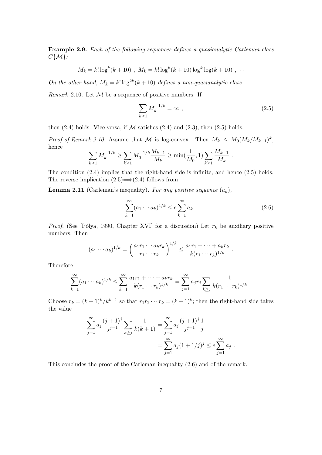Example 2.9. Each of the following sequences defines a quasianalytic Carleman class  $C\{\mathcal{M}\}$ :

$$
M_k = k! \log^k(k+10)
$$
,  $M_k = k! \log^k(k+10) \log^k \log(k+10)$ ,...

On the other hand,  $M_k = k! \log^{2k}(k+10)$  defines a non-quasianalytic class.

*Remark* 2.10. Let  $M$  be a sequence of positive numbers. If

$$
\sum_{k\geq 1} M_k^{-1/k} = \infty \;, \tag{2.5}
$$

.

then  $(2.4)$  holds. Vice versa, if  $M$  satisfies  $(2.4)$  and  $(2.3)$ , then  $(2.5)$  holds.

*Proof of Remark 2.10.* Assume that M is log-convex. Then  $M_k \n\t\leq M_0 (M_k/M_{k-1})^k$ , hence

$$
\sum_{k\geq 1} M_k^{-1/k} \geq \sum_{k\geq 1} M_0^{-1/k} \frac{M_{k-1}}{M_k} \geq \min(\frac{1}{M_0}, 1) \sum_{k\geq 1} \frac{M_{k-1}}{M_k}
$$

The condition (2.4) implies that the right-hand side is infinite, and hence (2.5) holds. The reverse implication  $(2.5) \rightarrow (2.4)$  follows from

**Lemma 2.11** (Carleman's inequality). For any positive sequence  $(a_k)$ ,

$$
\sum_{k=1}^{\infty} (a_1 \cdots a_k)^{1/k} \le e \sum_{k=1}^{\infty} a_k . \tag{2.6}
$$

*Proof.* (See [Pólya, 1990, Chapter XVI] for a discussion) Let  $r_k$  be auxiliary positive numbers. Then

$$
(a_1 \cdots a_k)^{1/k} = \left(\frac{a_1 r_1 \cdots a_k r_k}{r_1 \cdots r_k}\right)^{1/k} \le \frac{a_1 r_1 + \cdots + a_k r_k}{k(r_1 \cdots r_k)^{1/k}}.
$$

Therefore

$$
\sum_{k=1}^{\infty} (a_1 \cdots a_k)^{1/k} \leq \sum_{k=1}^{\infty} \frac{a_1 r_1 + \cdots + a_k r_k}{k(r_1 \cdots r_k)^{1/k}} = \sum_{j=1}^{\infty} a_j r_j \sum_{k \geq j} \frac{1}{k(r_1 \cdots r_k)^{1/k}}.
$$

Choose  $r_k = (k+1)^k / k^{k-1}$  so that  $r_1 r_2 \cdots r_k = (k+1)^k$ ; then the right-hand side takes the value

$$
\sum_{j=1}^{\infty} a_j \frac{(j+1)^j}{j^{j-1}} \sum_{k \ge j} \frac{1}{k(k+1)} = \sum_{j=1}^{\infty} a_j \frac{(j+1)^j}{j^{j-1}} \frac{1}{j}
$$

$$
= \sum_{j=1}^{\infty} a_j (1+1/j)^j \le e \sum_{j=1}^{\infty} a_j.
$$

This concludes the proof of the Carleman inequality (2.6) and of the remark.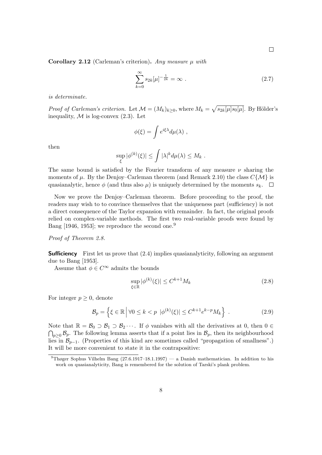Corollary 2.12 (Carleman's criterion). Any measure  $\mu$  with

$$
\sum_{k=0}^{\infty} s_{2k} [\mu]^{-\frac{1}{2k}} = \infty .
$$
 (2.7)

is determinate.

*Proof of Carleman's criterion.* Let  $\mathcal{M} = (M_k)_{k \geq 0}$ , where  $M_k = \sqrt{s_{2k}[\mu] s_0[\mu]}$ . By Hölder's inequality,  $\mathcal M$  is log-convex (2.3). Let

$$
\phi(\xi) = \int e^{i\xi\lambda} d\mu(\lambda) ,
$$

then

$$
\sup_{\xi} |\phi^{(k)}(\xi)| \leq \int |\lambda|^k d\mu(\lambda) \leq M_k.
$$

The same bound is satisfied by the Fourier transform of any measure  $\nu$  sharing the moments of  $\mu$ . By the Denjoy–Carleman theorem (and Remark 2.10) the class  $C\{\mathcal{M}\}\$ is quasianalytic, hence  $\phi$  (and thus also  $\mu$ ) is uniquely determined by the moments  $s_k$ .  $\Box$ 

Now we prove the Denjoy–Carleman theorem. Before proceeding to the proof, the readers may wish to to convince themselves that the uniqueness part (sufficiency) is not a direct consequence of the Taylor expansion with remainder. In fact, the original proofs relied on complex-variable methods. The first two real-variable proofs were found by Bang [1946, 1953]; we reproduce the second one.<sup>9</sup>

Proof of Theorem 2.8.

**Sufficiency** First let us prove that  $(2.4)$  implies quasianalyticity, following an argument due to Bang [1953].

Assume that  $\phi \in C^{\infty}$  admits the bounds

$$
\sup_{\xi \in \mathbb{R}} |\phi^{(k)}(\xi)| \le C^{k+1} M_k \tag{2.8}
$$

For integer  $p \geq 0$ , denote

$$
\mathcal{B}_p = \left\{ \xi \in \mathbb{R} \, \middle| \, \forall 0 \le k < p \, \middle| \phi^{(k)}(\xi) \right\} \le C^{k+1} e^{k-p} M_k \right\} \,. \tag{2.9}
$$

Note that  $\mathbb{R} = \mathcal{B}_0 \supset \mathcal{B}_1 \supset \mathcal{B}_2 \cdots$ . If  $\phi$  vanishes with all the derivatives at 0, then  $0 \in$  $\bigcap_{p\geq 0} \mathcal{B}_p$ . The following lemma asserts that if a point lies in  $\mathcal{B}_p$ , then its neighbourhood lies in  $\mathcal{B}_{p-1}$ . (Properties of this kind are sometimes called "propagation of smallness".) It will be more convenient to state it in the contrapositive:

<sup>&</sup>lt;sup>9</sup>Thøger Sophus Vilhelm Bang (27.6.1917–18.1.1997) — a Danish mathematician. In addition to his work on quasianalyticity, Bang is remembered for the solution of Tarski's plank problem.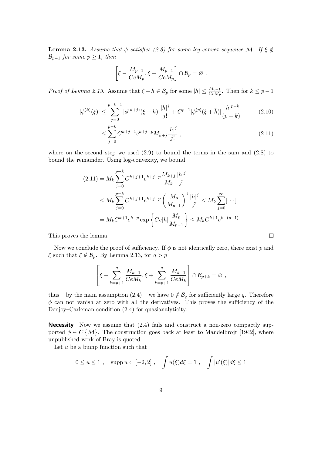**Lemma 2.13.** Assume that  $\phi$  satisfies (2.8) for some log-convex sequence M. If  $\xi \notin \phi$  $\mathcal{B}_{p-1}$  for some  $p \geq 1$ , then

$$
\left[\xi - \frac{M_{p-1}}{CeM_p}, \xi + \frac{M_{p-1}}{CeM_p}\right] \cap \mathcal{B}_p = \varnothing.
$$

*Proof of Lemma 2.13.* Assume that  $\xi + h \in \mathcal{B}_p$  for some  $|h| \leq \frac{M_{p-1}}{CeM_p}$ . Then for  $k \leq p-1$ 

$$
|\phi^{(k)}(\xi)| \le \sum_{j=0}^{p-k-1} |\phi^{(k+j)}(\xi+h)| \frac{|h|^j}{j!} + C^{p+1} |\phi^{(p)}(\xi+\tilde{h})| \frac{|h|^{p-k}}{(p-k)!}
$$
 (2.10)

$$
\leq \sum_{j=0}^{p-k} C^{k+j+1} e^{k+j-p} M_{k+j} \frac{|h|^j}{j!} \,,\tag{2.11}
$$

 $\Box$ 

where on the second step we used  $(2.9)$  to bound the terms in the sum and  $(2.8)$  to bound the remainder. Using log-convexity, we bound

$$
(2.11) = M_k \sum_{j=0}^{p-k} C^{k+j+1} e^{k+j-p} \frac{M_{k+j}}{M_k} \frac{|h|^j}{j!}
$$
  
\n
$$
\leq M_k \sum_{j=0}^{p-k} C^{k+j+1} e^{k+j-p} \left( \frac{M_p}{M_{p-1}} \right)^j \frac{|h|^j}{j!} \leq M_k \sum_{j=0}^{\infty} [\cdots]
$$
  
\n
$$
= M_k C^{k+1} e^{k-p} \exp \left\{ C e |h| \frac{M_p}{M_{p-1}} \right\} \leq M_k C^{k+1} e^{k-(p-1)}
$$

This proves the lemma.

Now we conclude the proof of sufficiency. If  $\phi$  is not identically zero, there exist p and  $\xi$  such that  $\xi \notin \mathcal{B}_p$ . By Lemma 2.13, for  $q > p$ 

$$
\left[\xi - \sum_{k=p+1}^{q} \frac{M_{k-1}}{CeM_k}, \xi + \sum_{k=p+1}^{q} \frac{M_{k-1}}{CeM_k}\right] \cap \mathcal{B}_{p+k} = \varnothing ,
$$

thus – by the main assumption  $(2.4)$  – we have  $0 \notin \mathcal{B}_q$  for sufficiently large q. Therefore  $\phi$  can not vanish at zero with all the derivatives. This proves the sufficiency of the Denjoy–Carleman condition (2.4) for quasianalyticity.

Necessity Now we assume that (2.4) fails and construct a non-zero compactly supported  $\phi \in C\{\mathcal{M}\}\.$  The construction goes back at least to Mandelbrojt [1942], where unpublished work of Bray is quoted.

Let  $u$  be a bump function such that

$$
0 \le u \le 1
$$
,  $\text{supp } u \subset [-2,2]$ ,  $\int u(\xi) d\xi = 1$ ,  $\int |u'(\xi)| d\xi \le 1$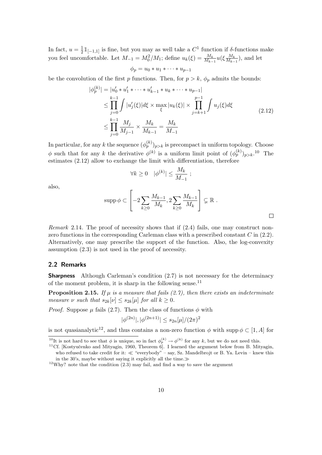In fact,  $u = \frac{1}{2} \mathbb{1}_{[-1,1]}$  is fine, but you may as well take a  $C^1$  function if δ-functions make ou feel uncomfortable. Let  $M_{-1} = M_0^2/M_1$ ; define  $u_k(\xi) = \frac{M_k}{M_{k-1}} u(\xi) \frac{M_k}{M_{k-1}}$  $\frac{M_k}{M_{k-1}}$ ), and let

$$
\phi_p = u_0 * u_1 * \cdots * u_{p-1}
$$

be the convolution of the first p functions. Then, for  $p > k$ ,  $\phi_p$  admits the bounds:

$$
|\phi_p^{(k)}| = |u'_0 * u'_1 * \dots * u'_{k-1} * u_k * \dots * u_{p-1}|
$$
  
\n
$$
\leq \prod_{j=0}^{k-1} \int |u'_j(\xi)| d\xi \times \max_{\xi} |u_k(\xi)| \times \prod_{j=k+1}^{p-1} \int u_j(\xi) d\xi
$$
  
\n
$$
\leq \prod_{j=0}^{k-1} \frac{M_j}{M_{j-1}} \times \frac{M_k}{M_{k-1}} = \frac{M_k}{M_{-1}}
$$
 (2.12)

In particular, for any k the sequence  $(\phi_p^{(k)})_{p>k}$  is precompact in uniform topology. Choose  $\phi$  such that for any k the derivative  $\phi^{(k)}$  is a uniform limit point of  $(\phi_p^{(k)})_{p>k}$ .<sup>10</sup> The estimates (2.12) allow to exchange the limit with differentiation, therefore

$$
\forall k \ge 0 \quad |\phi^{(k)}| \le \frac{M_k}{M_{-1}} ;
$$

also,

$$
\operatorname{supp} \phi \subset \left[ -2 \sum_{k \geq 0} \frac{M_{k-1}}{M_k}, 2 \sum_{k \geq 0} \frac{M_{k-1}}{M_k} \right] \subsetneq \mathbb{R} .
$$

Remark 2.14. The proof of necessity shows that if  $(2.4)$  fails, one may construct nonzero functions in the corresponding Carleman class with a prescribed constant  $C$  in  $(2.2)$ . Alternatively, one may prescribe the support of the function. Also, the log-convexity assumption (2.3) is not used in the proof of necessity.

#### 2.2 Remarks

**Sharpness** Although Carleman's condition (2.7) is not necessary for the determinacy of the moment problem, it is sharp in the following sense.<sup>11</sup>

**Proposition 2.15.** If  $\mu$  is a measure that fails (2.7), then there exists an indeterminate measure  $\nu$  such that  $s_{2k}[\nu] \leq s_{2k}[\mu]$  for all  $k \geq 0$ .

*Proof.* Suppose  $\mu$  fails (2.7). Then the class of functions  $\phi$  with

$$
|\phi^{(2n)}|,|\phi^{(2n+1)}| \le s_{2n}[\mu]/(2\pi)^2
$$

is not quasianalytic<sup>12</sup>, and thus contains a non-zero function  $\phi$  with supp  $\phi \subset [1, A]$  for

<sup>&</sup>lt;sup>10</sup>It is not hard to see that  $\phi$  is unique, so in fact  $\phi_p^{(k)} \to \phi^{(k)}$  for any k, but we do not need this.

<sup>&</sup>lt;sup>11</sup>Cf. [Kostyučenko and Mityagin, 1960, Theorem 6]. I learned the argument below from B. Mityagin, who refused to take credit for it:  $\ll$  "everybody" – say, Sz. Mandelbrojt or B. Ya. Levin – knew this in the 30's, maybe without saying it explicitly all the time. $\gg$ 

 $12$ Why? note that the condition  $(2.3)$  may fail, and find a way to save the argument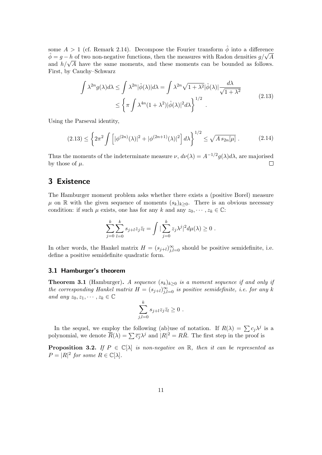some  $A > 1$  (cf. Remark 2.14). Decompose the Fourier transform  $\hat{\phi}$  into a difference some  $A > 1$  (cr. Remark 2.14). Decompose the Fourier transform  $\phi$  into a difference  $\hat{\phi} = g - h$  of two non-negative functions, then the measures with Radon densities  $g/\sqrt{A}$  $\varphi = g - h$  or two non-negative functions, then the measures with Kadon densities  $g/\sqrt{A}$  and  $h/\sqrt{A}$  have the same moments, and these moments can be bounded as follows. First, by Cauchy–Schwarz

$$
\int \lambda^{2n} g(\lambda) d\lambda \le \int \lambda^{2n} |\hat{\phi}(\lambda)| d\lambda = \int \lambda^{2n} \sqrt{1 + \lambda^2} |\hat{\phi}(\lambda)| \frac{d\lambda}{\sqrt{1 + \lambda^2}} \le \left\{ \pi \int \lambda^{4n} (1 + \lambda^2) |\hat{\phi}(\lambda)|^2 d\lambda \right\}^{1/2} .
$$
\n(2.13)

Using the Parseval identity,

$$
(2.13) \le \left\{ 2\pi^2 \int \left[ |\phi^{(2n)}(\lambda)|^2 + |\phi^{(2n+1)}(\lambda)|^2 \right] d\lambda \right\}^{1/2} \le \sqrt{A \, s_{2n}[\mu]} \,. \tag{2.14}
$$

Thus the moments of the indeterminate measure  $\nu$ ,  $d\nu(\lambda) = A^{-1/2} g(\lambda) d\lambda$ , are majorised by those of  $\mu$ .  $\Box$ 

# 3 Existence

The Hamburger moment problem asks whether there exists a (positive Borel) measure  $\mu$  on R with the given sequence of moments  $(s_k)_{k\geq 0}$ . There is an obvious necessary condition: if such  $\mu$  exists, one has for any k and any  $z_0, \dots, z_k \in \mathbb{C}$ :

$$
\sum_{j=0}^k \sum_{l=0}^k s_{j+l} z_j \bar{z}_l = \int \big| \sum_{j=0}^k z_j \lambda^j \big|^2 d\mu(\lambda) \ge 0.
$$

In other words, the Hankel matrix  $H = (s_{j+l})_{j,l=0}^{\infty}$  should be positive semidefinite, i.e. define a positive semidefinite quadratic form.

#### 3.1 Hamburger's theorem

**Theorem 3.1** (Hamburger). A sequence  $(s_k)_{k\geq 0}$  is a moment sequence if and only if the corresponding Hankel matrix  $H = (s_{j+l})_{j,l=0}^{\infty}$  is positive semidefinite, i.e. for any k and any  $z_0, z_1, \cdots, z_k \in \mathbb{C}$ 

$$
\sum_{j,l=0}^k s_{j+l} z_j \overline{z}_l \ge 0 .
$$

In the sequel, we employ the following (ab)use of notation. If  $R(\lambda) = \sum c_j \lambda^j$  is a polynomial, we denote  $\overline{R}(\lambda) = \sum \overline{c_j} \lambda^j$  and  $|R|^2 = R\overline{R}$ . The first step in the proof is

**Proposition 3.2.** If  $P \in \mathbb{C}[\lambda]$  is non-negative on  $\mathbb{R}$ , then it can be represented as  $P = |R|^2$  for some  $R \in \mathbb{C}[\lambda]$ .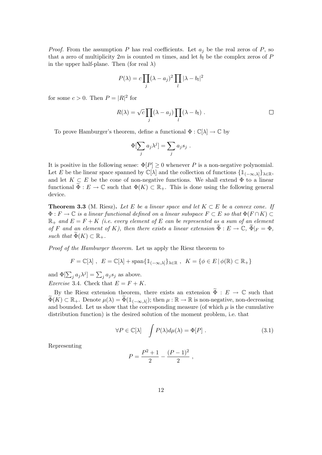*Proof.* From the assumption P has real coefficients. Let  $a_j$  be the real zeros of P, so that a zero of multiplicity  $2m$  is counted m times, and let  $b_l$  be the complex zeros of P in the upper half-plane. Then (for real  $\lambda$ )

$$
P(\lambda) = c \prod_j (\lambda - a_j)^2 \prod_l |\lambda - b_l|^2
$$

for some  $c > 0$ . Then  $P = |R|^2$  for

$$
R(\lambda) = \sqrt{c} \prod_j (\lambda - a_j) \prod_l (\lambda - b_l) .
$$

To prove Hamburger's theorem, define a functional  $\Phi : \mathbb{C}[\lambda] \to \mathbb{C}$  by

$$
\Phi[\sum_j a_j \lambda^j] = \sum_j a_j s_j .
$$

It is positive in the following sense:  $\Phi[P] \geq 0$  whenever P is a non-negative polynomial. Let E be the linear space spanned by  $\mathbb{C}[\lambda]$  and the collection of functions  $\{1_{(-\infty,\lambda]}\}_{\lambda\in\mathbb{R}}$ , and let  $K \subset E$  be the cone of non-negative functions. We shall extend  $\Phi$  to a linear functional  $\widetilde{\Phi}: E \to \mathbb{C}$  such that  $\Phi(K) \subset \mathbb{R}_+$ . This is done using the following general device.

**Theorem 3.3** (M. Riesz). Let E be a linear space and let  $K \subset E$  be a convex cone. If  $\Phi: F \to \mathbb{C}$  is a linear functional defined on a linear subspace  $F \subset E$  so that  $\Phi(F \cap K) \subset$  $\mathbb{R}_+$  and  $E = F + K$  (i.e. every element of E can be represented as a sum of an element of F and an element of K), then there exists a linear extension  $\widetilde{\Phi}: E \to \mathbb{C}, \widetilde{\Phi}|_F = \Phi$ , such that  $\Phi(K) \subset \mathbb{R}_+$ .

Proof of the Hamburger theorem. Let us apply the Riesz theorem to

$$
F = \mathbb{C}[\lambda], E = \mathbb{C}[\lambda] + \text{span}\{\mathbb{1}_{(-\infty,\lambda]}\}_{\lambda \in \mathbb{R}}, K = \{\phi \in E \,|\, \phi(\mathbb{R}) \subset \mathbb{R}_+\}
$$

and  $\Phi[\sum_j a_j \lambda^j] = \sum_j a_j s_j$  as above. *Exercise* 3.4. Check that  $E = F + K$ .

By the Riesz extension theorem, there exists an extension  $\widetilde{\Phi}: E \to \mathbb{C}$  such that  $\widetilde{\Phi}(K) \subset \mathbb{R}_+$ . Denote  $\mu(\lambda) = \widetilde{\Phi}(\mathbb{1}_{(-\infty,\lambda]})$ ; then  $\mu : \mathbb{R} \to \mathbb{R}$  is non-negative, non-decreasing and bounded. Let us show that the corresponding measure (of which  $\mu$  is the cumulative distribution function) is the desired solution of the moment problem, i.e. that

$$
\forall P \in \mathbb{C}[\lambda] \quad \int P(\lambda) d\mu(\lambda) = \Phi[P] \ . \tag{3.1}
$$

Representing

$$
P = \frac{P^2 + 1}{2} - \frac{(P - 1)^2}{2} ,
$$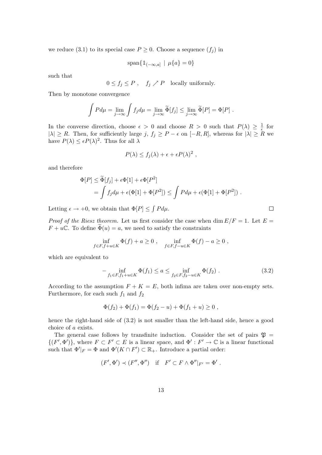we reduce (3.1) to its special case  $P \geq 0$ . Choose a sequence  $(f_j)$  in

$$
\mathrm{span}\{\mathbb{1}_{(-\infty,a]} \mid \mu\{a\} = 0\}
$$

such that

$$
0 \le f_j \le P
$$
,  $f_j \nearrow P$  locally uniformly.

Then by monotone convergence

$$
\int P d\mu = \lim_{j \to \infty} \int f_j d\mu = \lim_{j \to \infty} \widetilde{\Phi}[f_j] \le \lim_{j \to \infty} \widetilde{\Phi}[P] = \Phi[P].
$$

In the converse direction, choose  $\epsilon > 0$  and choose  $R > 0$  such that  $P(\lambda) \geq \frac{1}{\epsilon}$  $\frac{1}{\epsilon}$  for  $|\lambda| \ge R$ . Then, for sufficiently large j,  $f_j \ge P - \epsilon$  on  $[-R, R]$ , whereas for  $|\lambda| \ge R$  we have  $P(\lambda) \leq \epsilon P(\lambda)^2$ . Thus for all  $\lambda$ 

$$
P(\lambda) \le f_j(\lambda) + \epsilon + \epsilon P(\lambda)^2,
$$

and therefore

$$
\Phi[P] \leq \widetilde{\Phi}[f_j] + \epsilon \Phi[1] + \epsilon \Phi[P^2]
$$
  
= 
$$
\int f_j d\mu + \epsilon(\Phi[1] + \Phi[P^2]) \leq \int P d\mu + \epsilon(\Phi[1] + \Phi[P^2]) .
$$

Letting  $\epsilon \to +0$ , we obtain that  $\Phi[P] \leq \int P d\mu$ .

*Proof of the Riesz theorem.* Let us first consider the case when dim  $E/F = 1$ . Let  $E =$  $F + u\mathbb{C}$ . To define  $\Phi(u) = a$ , we need to satisfy the constraints

$$
\inf_{f \in F, f+u \in K} \Phi(f) + a \ge 0 , \quad \inf_{f \in F, f-u \in K} \Phi(f) - a \ge 0 ,
$$

which are equivalent to

$$
-\inf_{f_1 \in F, f_1 + u \in K} \Phi(f_1) \le a \le \inf_{f_2 \in F, f_2 - u \in K} \Phi(f_2).
$$
\n(3.2)

According to the assumption  $F + K = E$ , both infima are taken over non-empty sets. Furthermore, for each such  $f_1$  and  $f_2$ 

$$
\Phi(f_2) + \Phi(f_1) = \Phi(f_2 - u) + \Phi(f_1 + u) \ge 0,
$$

hence the right-hand side of  $(3.2)$  is not smaller than the left-hand side, hence a good choice of a exists.

The general case follows by transfinite induction. Consider the set of pairs  $\mathfrak{P} =$  $\{(F', \Phi')\}$ , where  $F \subset F' \subset E$  is a linear space, and  $\Phi' : F' \to \mathbb{C}$  is a linear functional such that  $\Phi'|_F = \Phi$  and  $\Phi'(K \cap F') \subset \mathbb{R}_+$ . Introduce a partial order:

$$
(F', \Phi') \prec (F'', \Phi'') \quad \text{if} \quad F' \subset F \wedge \Phi''|_{F'} = \Phi' \ .
$$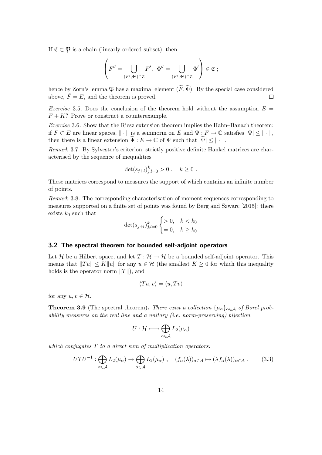If  $\mathfrak{C} \subset \mathfrak{P}$  is a chain (linearly ordered subset), then

$$
\left(F''=\bigcup_{(F',\Phi')\in\mathfrak{C}}F',\enskip \Phi''=\bigcup_{(F',\Phi')\in\mathfrak{C}}\Phi'\right)\in\mathfrak{C}\ ;
$$

hence by Zorn's lemma  $\mathfrak{P}$  has a maximal element  $(\widetilde{F}, \widetilde{\Phi})$ . By the special case considered above,  $\widetilde{F} = E$ , and the theorem is proved. above,  $\widetilde{F} = E$ , and the theorem is proved.

Exercise 3.5. Does the conclusion of the theorem hold without the assumption  $E =$  $F + K$ ? Prove or construct a counterexample.

Exercise 3.6. Show that the Riesz extension theorem implies the Hahn–Banach theorem: if  $F \subset E$  are linear spaces,  $\|\cdot\|$  is a seminorm on E and  $\Psi : F \to \mathbb{C}$  satisfies  $|\Psi| \leq \|\cdot\|$ , then there is a linear extension  $\widetilde{\Psi}: E \to \mathbb{C}$  of  $\Psi$  such that  $|\widetilde{\Psi}| \leq ||\cdot||$ .

Remark 3.7. By Sylvester's criterion, strictly positive definite Hankel matrices are characterised by the sequence of inequalities

$$
\det(s_{j+l})_{j,l=0}^k > 0 , \quad k \ge 0 .
$$

These matrices correspond to measures the support of which contains an infinite number of points.

Remark 3.8. The corresponding characterisation of moment sequences corresponding to measures supported on a finite set of points was found by Berg and Szwarc [2015]: there exists  $k_0$  such that

$$
\det(s_{j+l})_{j,l=0}^k \begin{cases} > 0, \quad k < k_0 \\ = 0, \quad k \ge k_0 \end{cases}
$$

#### 3.2 The spectral theorem for bounded self-adjoint operators

Let H be a Hilbert space, and let  $T : \mathcal{H} \to \mathcal{H}$  be a bounded self-adjoint operator. This means that  $||Tu|| \le K||u||$  for any  $u \in H$  (the smallest  $K \ge 0$  for which this inequality holds is the operator norm  $||T||$ , and

$$
\langle Tu, v \rangle = \langle u, Tv \rangle
$$

for any  $u, v \in \mathcal{H}$ .

**Theorem 3.9** (The spectral theorem). There exist a collection  $\{\mu_{\alpha}\}_{{\alpha \in \mathcal{A}}}$  of Borel probability measures on the real line and a unitary (i.e. norm-preserving) bijection

$$
U: \mathcal{H} \longleftrightarrow \bigoplus_{\alpha \in \mathcal{A}} L_2(\mu_{\alpha})
$$

which conjugates  $T$  to a direct sum of multiplication operators:

$$
UTU^{-1}: \bigoplus_{\alpha \in \mathcal{A}} L_2(\mu_\alpha) \to \bigoplus_{\alpha \in \mathcal{A}} L_2(\mu_\alpha) , \quad (f_\alpha(\lambda))_{\alpha \in \mathcal{A}} \mapsto (\lambda f_\alpha(\lambda))_{\alpha \in \mathcal{A}} . \tag{3.3}
$$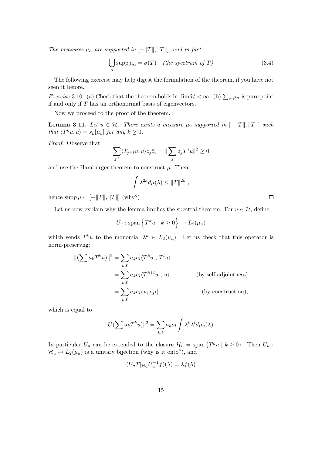The measures  $\mu_{\alpha}$  are supported in  $[-||T||, ||T||]$ , and in fact

$$
\bigcup_{\alpha} \text{supp}\,\mu_{\alpha} = \sigma(T) \quad (the \,\,spectrum \,\,of \,\,T) \tag{3.4}
$$

The following exercise may help digest the formulation of the theorem, if you have not seen it before.

*Exercise* 3.10. (a) Check that the theorem holds in dim  $H < \infty$ . (b)  $\sum_{\alpha} \mu_{\alpha}$  is pure point if and only if  $T$  has an orthonormal basis of eigenvectors.

Now we proceed to the proof of the theorem.

**Lemma 3.11.** Let  $u \in \mathcal{H}$ . There exists a measure  $\mu_u$  supported in  $[-||T||, ||T||]$  such that  $\langle T^k u, u \rangle = s_k[\mu_u]$  for any  $k \geq 0$ .

Proof. Observe that

$$
\sum_{j,\ell} \langle T_{j+\ell}u,u\rangle z_j\bar{z}_\ell=\|\sum_j z_jT^ju\|^2\geq 0
$$

and use the Hamburger theorem to construct  $\mu$ . Then

$$
\int \lambda^{2k} d\mu(\lambda) \leq ||T||^{2k},
$$

hence  $\text{supp}\,\mu\subset[-\|T\|,\|T\|]$  (why?)

Let us now explain why the lemma implies the spectral theorem. For  $u \in \mathcal{H}$ , define

$$
U_u : \text{span}\left\{T^k u \mid k \ge 0\right\} \to L_2(\mu_u)
$$

which sends  $T^k u$  to the monomial  $\lambda^k \in L_2(\mu_u)$ . Let us check that this operator is norm-preservng:

$$
\begin{aligned} ||(\sum a_k T^k u)||^2 &= \sum_{k,\ell} a_k \bar{a}_l \langle T^k u \ , \ T^l u \rangle \\ &= \sum_{k,\ell} a_k \bar{a}_l \langle T^{k+l} u \ , \ u \rangle \end{aligned} \qquad \qquad \text{(by self-adjointness)}
$$
\n
$$
= \sum_{k,\ell} a_k \bar{a}_l s_{k+l}[\mu] \qquad \qquad \text{(by construction)},
$$

which is equal to

$$
||U(\sum a_k T^k u)||^2 = \sum_{k,\ell} a_k \bar{a}_l \int \lambda^k \lambda^l d\mu_u(\lambda) .
$$

In particular  $U_u$  can be extended to the closure  $\mathcal{H}_u = \overline{\text{span}\{T^k u \mid k \geq 0\}}$ . Then  $U_u$ :  $\mathcal{H}_u \leftrightarrow L_2(\mu_u)$  is a unitary bijection (why is it onto?), and

$$
(U_u T |_{\mathcal{H}_u} U_u^{-1} f)(\lambda) = \lambda f(\lambda)
$$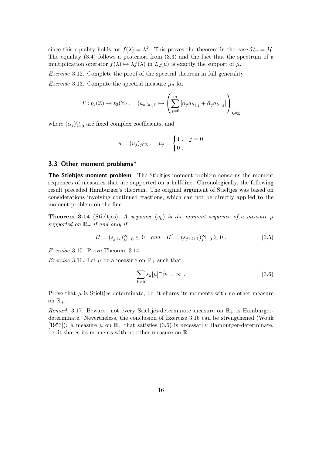since this equality holds for  $f(\lambda) = \lambda^k$ . This proves the theorem in the case  $\mathcal{H}_u = \mathcal{H}$ . The equality (3.4) follows a posteriori from (3.3) and the fact that the spectrum of a multiplication operator  $f(\lambda) \mapsto \lambda f(\lambda)$  in  $L_2(\mu)$  is exactly the support of  $\mu$ .

Exercise 3.12. Complete the proof of the spectral theorem in full generality.

*Exercise* 3.13. Compute the spectral measure  $\mu_u$  for

$$
T: \ell_2(\mathbb{Z}) \to \ell_2(\mathbb{Z}), \quad (a_k)_{k \in \mathbb{Z}} \mapsto \left( \sum_{j=0}^m \left[ \alpha_j a_{k+j} + \bar{\alpha}_j a_{k-j} \right] \right)_{k \in \mathbb{Z}}
$$

where  $(\alpha_j)_{j=0}^m$  are fixed complex coefficients, and

$$
u = (u_j)_{j \in \mathbb{Z}}
$$
,  $u_j = \begin{cases} 1, & j = 0 \\ 0 \end{cases}$ 

#### 3.3 Other moment problems\*

The Stieltjes moment problem The Stieltjes moment problem concerns the moment sequences of measures that are supported on a half-line. Chronologically, the following result preceded Hamburger's theorem. The original argument of Stieltjes was based on considerations involving continued fractions, which can not be directly applied to the moment problem on the line.

**Theorem 3.14** (Stieltjes). A sequence  $(s_k)$  is the moment sequence of a measure  $\mu$ supported on  $\mathbb{R}_+$  if and only if

$$
H = (s_{j+l})_{j,l=0}^{\infty} \succeq 0 \quad and \quad H' = (s_{j+l+1})_{j,l=0}^{\infty} \succeq 0.
$$
 (3.5)

Exercise 3.15. Prove Theorem 3.14.

*Exercise* 3.16. Let  $\mu$  be a measure on  $\mathbb{R}_+$  such that

$$
\sum_{k\geq 0} s_k[\mu]^{-\frac{1}{2k}} = \infty . \tag{3.6}
$$

Prove that  $\mu$  is Stieltjes determinate, i.e. it shares its moments with no other measure on  $\mathbb{R}_+$ .

Remark 3.17. Beware: not every Stieltjes-determinate measure on  $\mathbb{R}_+$  is Hamburgerdeterminate. Nevertheless, the conclusion of Exercise 3.16 can be strengthened (Wouk [1953]): a measure  $\mu$  on  $\mathbb{R}_+$  that satisfies (3.6) is necessarily Hamburger-determinate, i.e. it shares its moments with no other measure on R.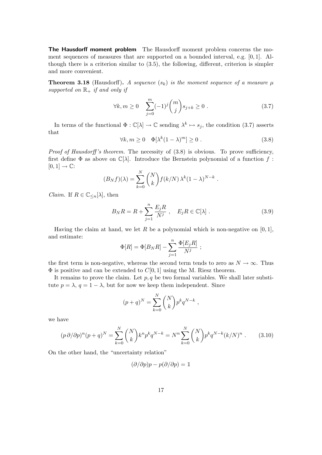The Hausdorff moment problem The Hausdorff moment problem concerns the moment sequences of measures that are supported on a bounded interval, e.g. [0, 1]. Although there is a criterion similar to (3.5), the following, different, criterion is simpler and more convenient.

**Theorem 3.18** (Hausdorff). A sequence  $(s_k)$  is the moment sequence of a measure  $\mu$ supported on  $\mathbb{R}_+$  if and only if

$$
\forall k, m \ge 0 \quad \sum_{j=0}^{m} (-1)^j \binom{m}{j} s_{j+k} \ge 0 \tag{3.7}
$$

In terms of the functional  $\Phi : \mathbb{C}[\lambda] \to \mathbb{C}$  sending  $\lambda^k \mapsto s_j$ , the condition (3.7) asserts that

$$
\forall k, m \ge 0 \quad \Phi[\lambda^k (1 - \lambda)^m] \ge 0 \tag{3.8}
$$

*Proof of Hausdorff's theorem.* The necessity of  $(3.8)$  is obvious. To prove sufficiency, first define  $\Phi$  as above on  $\mathbb{C}[\lambda]$ . Introduce the Bernstein polynomial of a function f:  $[0, 1] \rightarrow \mathbb{C}$ :

$$
(B_N f)(\lambda) = \sum_{k=0}^N {N \choose k} f(k/N) \lambda^k (1-\lambda)^{N-k}.
$$

*Claim.* If  $R \in \mathbb{C}_{\leq n}[\lambda]$ , then

$$
B_N R = R + \sum_{j=1}^n \frac{E_j R}{N^j} , \quad E_j R \in \mathbb{C}[\lambda] .
$$
 (3.9)

,

Having the claim at hand, we let R be a polynomial which is non-negative on  $[0, 1]$ , and estimate:

$$
\Phi[R] = \Phi[B_N R] - \sum_{j=1}^n \frac{\Phi[E_j R]}{N^j} ;
$$

the first term is non-negative, whereas the second term tends to zero as  $N \to \infty$ . Thus  $\Phi$  is positive and can be extended to  $C[0, 1]$  using the M. Riesz theorem.

It remains to prove the claim. Let  $p, q$  be two formal variables. We shall later substitute  $p = \lambda$ ,  $q = 1 - \lambda$ , but for now we keep them independent. Since

$$
(p+q)^N = \sum_{k=0}^N \binom{N}{k} p^k q^{N-k}
$$

we have

$$
(p \,\partial/\partial p)^n (p+q)^N = \sum_{k=0}^N \binom{N}{k} k^n p^k q^{N-k} = N^n \sum_{k=0}^N \binom{N}{k} p^k q^{N-k} (k/N)^n . \tag{3.10}
$$

On the other hand, the "uncertainty relation"

$$
(\partial/\partial p)p - p(\partial/\partial p) = 1
$$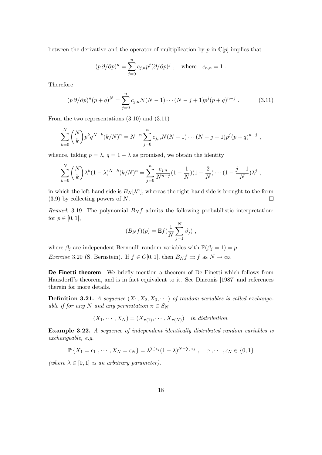between the derivative and the operator of multiplication by  $p$  in  $\mathbb{C}[p]$  implies that

$$
(p \partial/\partial p)^n = \sum_{j=0}^n c_{j,n} p^j (\partial/\partial p)^j
$$
, where  $c_{n,n} = 1$ .

Therefore

$$
(p \,\partial/\partial p)^n (p+q)^N = \sum_{j=0}^n c_{j,n} N(N-1) \cdots (N-j+1) p^j (p+q)^{n-j} . \tag{3.11}
$$

From the two representations (3.10) and (3.11)

$$
\sum_{k=0}^{N} {N \choose k} p^{k} q^{N-k} (k/N)^{n} = N^{-n} \sum_{j=0}^{n} c_{j,n} N(N-1) \cdots (N-j+1) p^{j} (p+q)^{n-j},
$$

whence, taking  $p = \lambda$ ,  $q = 1 - \lambda$  as promised, we obtain the identity

$$
\sum_{k=0}^{N} {N \choose k} \lambda^{k} (1-\lambda)^{N-k} (k/N)^{n} = \sum_{j=0}^{n} \frac{c_{j,n}}{N^{n-j}} (1-\frac{1}{N}) (1-\frac{2}{N}) \cdots (1-\frac{j-1}{N}) \lambda^{j},
$$

in which the left-hand side is  $B_N[\lambda^n]$ , whereas the right-hand side is brought to the form (3.9) by collecting powers of N.  $\Box$ 

Remark 3.19. The polynomial  $B_N f$  admits the following probabilistic interpretation: for  $p \in [0, 1]$ ,

$$
(B_N f)(p) = \mathbb{E} f\left(\frac{1}{N}\sum_{j=1}^N \beta_j\right),
$$

where  $\beta_j$  are independent Bernoulli random variables with  $\mathbb{P}(\beta_j = 1) = p$ . *Exercise* 3.20 (S. Bernstein). If  $f \in C[0,1]$ , then  $B_N f \rightrightarrows f$  as  $N \to \infty$ .

De Finetti theorem We briefly mention a theorem of De Finetti which follows from Hausdorff's theorem, and is in fact equivalent to it. See Diaconis [1987] and references therein for more details.

**Definition 3.21.** A sequence  $(X_1, X_2, X_3, \cdots)$  of random variables is called exchangeable if for any N and any permutation  $\pi \in S_N$ 

$$
(X_1, \cdots, X_N) = (X_{\pi(1)}, \cdots, X_{\pi(N)})
$$
 in distribution.

Example 3.22. A sequence of independent identically distributed random variables is exchangeable, e.g.

$$
\mathbb{P}\left\{X_1 = \epsilon_1, \cdots, X_N = \epsilon_N\right\} = \lambda^{\sum \epsilon_j} (1 - \lambda)^{N - \sum \epsilon_j}, \quad \epsilon_1, \cdots, \epsilon_N \in \{0, 1\}
$$

(where  $\lambda \in [0, 1]$  is an arbitrary parameter).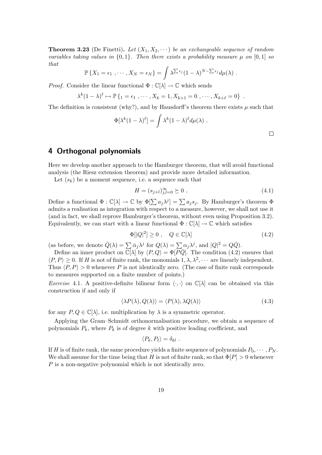**Theorem 3.23** (De Finetti). Let  $(X_1, X_2, \dots)$  be an exchangeable sequence of random variables taking values in  $\{0, 1\}$ . Then there exists a probability measure  $\mu$  on  $[0, 1]$  so that

$$
\mathbb{P}\left\{X_1=\epsilon_1,\cdots,X_N=\epsilon_N\right\}=\int \lambda^{\sum \epsilon_j}(1-\lambda)^{N-\sum \epsilon_j}d\mu(\lambda).
$$

*Proof.* Consider the linear functional  $\Phi : \mathbb{C}[\lambda] \to \mathbb{C}$  which sends

$$
\lambda^{k}(1-\lambda)^{\ell} \mapsto \mathbb{P}\left\{1 = \epsilon_{1}, \cdots, X_{k} = 1, X_{k+1} = 0, \cdots, X_{k+\ell} = 0\right\}.
$$

The definition is consistent (why?), and by Hausdorff's theorem there exists  $\mu$  such that

$$
\Phi[\lambda^k (1-\lambda)^{\ell}] = \int \lambda^k (1-\lambda)^{\ell} d\mu(\lambda) .
$$

# 4 Orthogonal polynomials

Here we develop another approach to the Hamburger theorem, that will avoid functional analysis (the Riesz extension theorem) and provide more detailed information.

Let  $(s_k)$  be a moment sequence, i.e. a sequence such that

$$
H = (s_{j+l})_{j,l=0}^{\infty} \succeq 0.
$$
 (4.1)

Define a functional  $\Phi : \mathbb{C}[\lambda] \to \mathbb{C}$  by  $\Phi[\sum a_j \lambda^j] = \sum a_j s_j$ . By Hamburger's theorem  $\Phi$ admits a realisation as integration with respect to a measure, however, we shall not use it (and in fact, we shall reprove Hamburger's theorem, without even using Proposition 3.2). Equivalently, we can start with a linear functional  $\Phi : \mathbb{C}[\lambda] \to \mathbb{C}$  which satisfies

$$
\Phi[|Q|^2] \ge 0 \;, \quad Q \in \mathbb{C}[\lambda] \tag{4.2}
$$

(as before, we denote  $\overline{Q}(\lambda) = \sum \overline{\alpha}_j \lambda^j$  for  $Q(\lambda) = \sum \alpha_j \lambda^j$ , and  $|Q|^2 = Q\overline{Q}$ ).

Define an inner product on  $\mathbb{C}[\lambda]$  by  $\langle P, Q \rangle = \Phi[\overline{PQ}]$ . The condition (4.2) ensures that  $\langle P, P \rangle \geq 0$ . If H is not of finite rank, the monomials  $1, \lambda, \lambda^2, \cdots$  are linearly independent. Thus  $\langle P, P \rangle > 0$  whenever P is not identically zero. (The case of finite rank corresponds to measures supported on a finite number of points.)

*Exercise* 4.1. A positive-definite bilinear form  $\langle \cdot, \cdot \rangle$  on  $\mathbb{C}[\lambda]$  can be obtained via this construction if and only if

$$
\langle \lambda P(\lambda), Q(\lambda) \rangle = \langle P(\lambda), \lambda Q(\lambda) \rangle \tag{4.3}
$$

for any  $P, Q \in \mathbb{C}[\lambda]$ , i.e. multiplication by  $\lambda$  is a symmetric operator.

Applying the Gram–Schmidt orthonormalisation procedure, we obtain a sequence of polynomials  $P_k$ , where  $P_k$  is of degree k with positive leading coefficient, and

$$
\langle P_k, P_\ell \rangle = \delta_{kl} .
$$

If H is of finite rank, the same procedure yields a finite sequence of polynomials  $P_0, \dots, P_N$ . We shall assume for the time being that H is not of finite rank, so that  $\Phi[P] > 0$  whenever P is a non-negative polynomial which is not identically zero.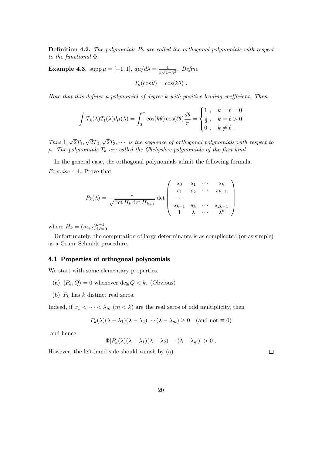**Definition 4.2.** The polynomials  $P_k$  are called the orthogonal polynomials with respect to the functional Φ.

**Example 4.3.** supp  $\mu = [-1, 1], d\mu/d\lambda = \frac{1}{\sqrt{1}}$  $\frac{1}{\pi\sqrt{1-\lambda^2}}$ . Define

$$
T_k(\cos\theta) = \cos(k\theta) .
$$

Note that this defines a polynomial of degree k with positive leading coefficient. Then:

$$
\int T_k(\lambda)T_\ell(\lambda)d\mu(\lambda) = \int_0^\pi \cos(k\theta)\cos(\ell\theta)\frac{d\theta}{\pi} = \begin{cases} 1, & k = \ell = 0 \\ \frac{1}{2}, & k = \ell > 0 \\ 0, & k \neq \ell \end{cases}
$$

Thus 1, √  $2T_1$ √  $2T_2,$ √  $2T_3, \cdots$  is the sequence of orthogonal polynomials with respect to  $\mu$ . The polynomials  $T_k$  are called the Chebyshev polynomials of the first kind.

In the general case, the orthogonal polynomials admit the following formula. Exercise 4.4. Prove that

$$
P_k(\lambda) = \frac{1}{\sqrt{\det H_k \det H_{k+1}}} \det \begin{pmatrix} s_0 & s_1 & \cdots & s_k \\ s_1 & s_2 & \cdots & s_{k+1} \\ \cdots & & & \\ s_{k-1} & s_k & \cdots & s_{2k-1} \\ 1 & \lambda & \cdots & \lambda^k \end{pmatrix}
$$

where  $H_k = (s_{j+\ell})_{j,\ell=0}^{k-1}$ .

Unfortunately, the computation of large determinants is as complicated (or as simple) as a Gram–Schmidt procedure.

#### 4.1 Properties of orthogonal polynomials

We start with some elementary properties.

- (a)  $\langle P_k, Q \rangle = 0$  whenever deg  $Q < k$ . (Obvious)
- (b)  $P_k$  has k distinct real zeros.

Indeed, if  $x_1 < \cdots < \lambda_m$   $(m < k)$  are the real zeros of odd multiplicity, then

$$
P_k(\lambda)(\lambda - \lambda_1)(\lambda - \lambda_2) \cdots (\lambda - \lambda_m) \ge 0 \quad (\text{and not} \equiv 0)
$$

and hence

$$
\Phi[P_k(\lambda)(\lambda-\lambda_1)(\lambda-\lambda_2)\cdots(\lambda-\lambda_m)]>0.
$$

However, the left-hand side should vanish by (a).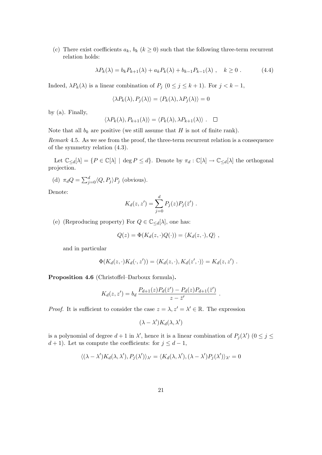(c) There exist coefficients  $a_k$ ,  $b_k$  ( $k \geq 0$ ) such that the following three-term recurrent relation holds:

$$
\lambda P_k(\lambda) = b_k P_{k+1}(\lambda) + a_k P_k(\lambda) + b_{k-1} P_{k-1}(\lambda) , \quad k \ge 0 . \tag{4.4}
$$

Indeed,  $\lambda P_k(\lambda)$  is a linear combination of  $P_j$  ( $0 \le j \le k+1$ ). For  $j < k-1$ ,

$$
\langle \lambda P_k(\lambda), P_j(\lambda) \rangle = \langle P_k(\lambda), \lambda P_j(\lambda) \rangle = 0
$$

by (a). Finally,

$$
\langle \lambda P_k(\lambda), P_{k+1}(\lambda) \rangle = \langle P_k(\lambda), \lambda P_{k+1}(\lambda) \rangle . \quad \Box
$$

Note that all  $b_k$  are positive (we still assume that H is not of finite rank).

Remark 4.5. As we see from the proof, the three-term recurrent relation is a consequence of the symmetry relation (4.3).

Let  $\mathbb{C}_{\leq d}[\lambda] = \{P \in \mathbb{C}[\lambda] \mid \deg P \leq d\}$ . Denote by  $\pi_d : \mathbb{C}[\lambda] \to \mathbb{C}_{\leq d}[\lambda]$  the orthogonal projection.

(d) 
$$
\pi_d Q = \sum_{j=0}^d \langle Q, P_j \rangle P_j
$$
 (obvious).

Denote:

$$
K_d(z, z') = \sum_{j=0}^d P_j(z) P_j(\bar{z}')
$$
.

(e) (Reproducing property) For  $Q \in \mathbb{C}_{\le d}[\lambda]$ , one has:

$$
Q(z) = \Phi(K_d(z, \cdot)Q(\cdot)) = \langle K_d(z, \cdot), Q \rangle ,
$$

and in particular

$$
\Phi(K_d(z,\cdot)K_d(\cdot,z')) = \langle K_d(z,\cdot),K_d(z',\cdot)\rangle = K_d(z,z') .
$$

Proposition 4.6 (Christoffel–Darboux formula).

$$
K_d(z, z') = b_d \frac{P_{d+1}(z)P_d(\bar{z}') - P_d(z)P_{d+1}(\bar{z}')}{z - \bar{z}'}.
$$

*Proof.* It is sufficient to consider the case  $z = \lambda, z' = \lambda' \in \mathbb{R}$ . The expression

$$
(\lambda - \lambda') K_d(\lambda, \lambda')
$$

is a polynomial of degree  $d+1$  in  $\lambda'$ , hence it is a linear combination of  $P_j(\lambda')$   $(0 \le j \le k)$  $d+1$ ). Let us compute the coefficients: for  $j \leq d-1$ ,

$$
\langle (\lambda - \lambda') K_d(\lambda, \lambda'), P_j(\lambda') \rangle_{\lambda'} = \langle K_d(\lambda, \lambda'), (\lambda - \lambda') P_j(\lambda') \rangle_{\lambda'} = 0
$$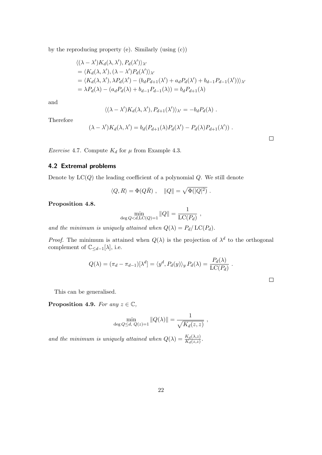by the reproducing property (e). Similarly (using (c))

$$
\langle (\lambda - \lambda')K_d(\lambda, \lambda'), P_d(\lambda') \rangle_{\lambda'}
$$
  
=  $\langle K_d(\lambda, \lambda'), (\lambda - \lambda')P_d(\lambda') \rangle_{\lambda'}$   
=  $\langle K_d(\lambda, \lambda'), \lambda P_d(\lambda') - (b_d P_{d+1}(\lambda') + a_d P_d(\lambda') + b_{d-1} P_{d-1}(\lambda')) \rangle_{\lambda'}$   
=  $\lambda P_d(\lambda) - (a_d P_d(\lambda) + b_{d-1} P_{d-1}(\lambda)) = b_d P_{d+1}(\lambda)$ 

and

$$
\langle (\lambda - \lambda') K_d(\lambda, \lambda'), P_{d+1}(\lambda') \rangle_{\lambda'} = -b_d P_d(\lambda) .
$$

Therefore

$$
(\lambda - \lambda')K_d(\lambda, \lambda') = b_d(P_{d+1}(\lambda)P_d(\lambda') - P_d(\lambda)P_{d+1}(\lambda')).
$$

*Exercise* 4.7. Compute  $K_d$  for  $\mu$  from Example 4.3.

## 4.2 Extremal problems

Denote by  $LC(Q)$  the leading coefficient of a polynomial  $Q$ . We still denote

$$
\langle Q,R\rangle=\Phi(Q\bar R)\ ,\quad \|Q\|=\sqrt{\Phi(|Q|^2)}\ .
$$

Proposition 4.8.

$$
\min_{\deg Q < d, \mathrm{LC}(Q) = 1} \|Q\| = \frac{1}{\mathrm{LC}(P_d)},
$$

and the minimum is uniquely attained when  $Q(\lambda) = P_d / \text{LC}(P_d)$ .

*Proof.* The minimum is attained when  $Q(\lambda)$  is the projection of  $\lambda^d$  to the orthogonal complement of  $\mathbb{C}_{\leq d-1}[\lambda]$ , i.e.

$$
Q(\lambda) = (\pi_d - \pi_{d-1})[\lambda^d] = \langle y^d, P_d(y) \rangle_y P_d(\lambda) = \frac{P_d(\lambda)}{\text{LC}(P_d)}.
$$

 $\Box$ 

 $\Box$ 

This can be generalised.

**Proposition 4.9.** For any  $z \in \mathbb{C}$ ,

$$
\min_{\deg Q \le d, \ Q(z)=1} ||Q(\lambda)|| = \frac{1}{\sqrt{K_d(z,z)}} ,
$$

and the minimum is uniquely attained when  $Q(\lambda) = \frac{K_d(\lambda, z)}{K_d(z, z)}$ .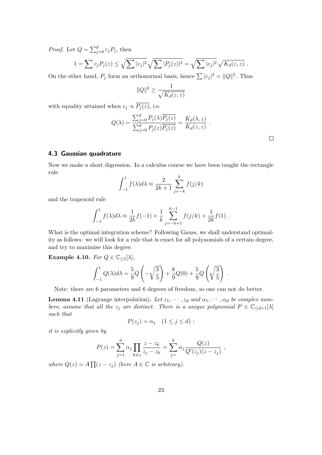*Proof.* Let  $Q = \sum_{j=0}^{d} c_j P_j$ , then

$$
1 = \sum c_j P_j(z) \le \sqrt{\sum |c_j|^2} \sqrt{\sum |P_j(z)|^2} = \sqrt{\sum |c_j|^2} \sqrt{K_d(z, z)}.
$$

On the other hand,  $P_j$  form an orthonormal basis, hence  $\sum |c_j|^2 = ||Q||^2$ . Thus

$$
||Q||^2 \ge \frac{1}{\sqrt{K_d(z,z)}}
$$

with equality attained when  $c_j \propto \overline{P_j(z)}$ , i.e.

$$
Q(\lambda) = \frac{\sum_{j=0}^{d} P_j(\lambda) \overline{P_j(z)}}{\sum_{j=0}^{d} P_j(z) \overline{P_j(z)}} = \frac{K_d(\lambda, z)}{K_d(z, z)}.
$$

## 4.3 Gaussian quadrature

Now we make a short digression. In a calculus course we have been taught the rectangle rule

$$
\int_{-1}^{1} f(\lambda)d\lambda \approx \frac{2}{2k+1} \sum_{j=-k}^{k} f(j/k)
$$

and the trapezoid rule

$$
\int_{-1}^{1} f(\lambda) d\lambda \approx \frac{1}{2k} f(-1) + \frac{1}{k} \sum_{j=-k+1}^{k-1} f(j/k) + \frac{1}{2k} f(1) .
$$

What is the optimal integration scheme? Following Gauss, we shall understand optimality as follows: we will look for a rule that is exact for all polynomials of a certain degree, and try to maximise this degree.

Example 4.10. For  $Q \in \mathbb{C}_{\leq 5}[\lambda],$ 

$$
\int_{-1}^{1} Q(\lambda) d\lambda = \frac{5}{9} Q\left(-\sqrt{\frac{3}{5}}\right) + \frac{8}{9} Q(0) + \frac{5}{9} Q\left(\sqrt{\frac{3}{5}}\right) .
$$

Note: there are 6 parameters and 6 degrees of freedom, so one can not do better.

**Lemma 4.11** (Lagrange interpolation). Let  $z_1, \dots, z_d$  and  $\alpha_1, \dots, \alpha_d$  be complex numbers; assume that all the  $z_j$  are distinct. There is a unique polynomial  $P \in \mathbb{C}_{\leq d+1}[\lambda]$ such that

$$
P(z_j) = \alpha_j \quad (1 \le j \le d) ;
$$

it is explicitly given by

$$
P(z) = \sum_{j=1}^{d} \alpha_j \prod_{k \neq j} \frac{z - z_k}{z_j - z_k} = \sum_{j=1}^{k} \alpha_j \frac{Q(z)}{Q'(z_j)(z - z_j)},
$$

where  $Q(z) = A \prod (z - z_j)$  (here  $A \in \mathbb{C}$  is arbitrary).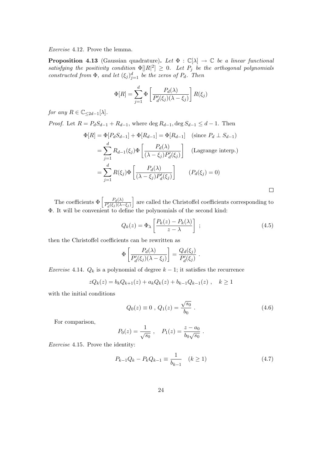Exercise 4.12. Prove the lemma.

**Proposition 4.13** (Gaussian quadrature). Let  $\Phi : \mathbb{C}[\lambda] \to \mathbb{C}$  be a linear functional satisfying the positivity condition  $\Phi[|R|^2] \geq 0$ . Let  $P_j$  be the orthogonal polynomials constructed from  $\Phi$ , and let  $(\xi_j)_{j=1}^d$  be the zeros of  $P_d$ . Then

$$
\Phi[R] = \sum_{j=1}^{d} \Phi\left[\frac{P_d(\lambda)}{P'_d(\xi_j)(\lambda - \xi_j)}\right] R(\xi_j)
$$

for any  $R \in \mathbb{C}_{\leq 2d-1}[\lambda]$ .

*Proof.* Let  $R = P_dS_{d-1} + R_{d-1}$ , where  $\deg R_{d-1}$ ,  $\deg S_{d-1} \leq d-1$ . Then

$$
\Phi[R] = \Phi[P_d S_{d-1}] + \Phi[R_{d-1}] = \Phi[R_{d-1}] \quad \text{(since } P_d \perp S_{d-1})
$$
\n
$$
= \sum_{j=1}^d R_{d-1}(\xi_j) \Phi\left[\frac{P_d(\lambda)}{(\lambda - \xi_j)P'_d(\xi_j)}\right] \quad \text{(Lagrange interp.)}
$$
\n
$$
= \sum_{j=1}^d R(\xi_j) \Phi\left[\frac{P_d(\lambda)}{(\lambda - \xi_j)P'_d(\xi_j)}\right] \quad (P_d(\xi_j) = 0)
$$

 $\Box$ 

The coefficients  $\Phi\left[\frac{P_d(\lambda)}{P'(\xi\cdot)\sqrt{\lambda}}\right]$  $P'_d(\xi_j)(\lambda-\xi_j)$ are called the Christoffel coefficients corresponding to Φ. It will be convenient to define the polynomials of the second kind:

$$
Q_k(z) = \Phi_\lambda \left[ \frac{P_k(z) - P_k(\lambda)}{z - \lambda} \right] ; \qquad (4.5)
$$

then the Christoffel coefficients can be rewritten as

$$
\Phi\left[\frac{P_d(\lambda)}{P'_d(\xi_j)(\lambda-\xi_j)}\right] = \frac{Q_d(\xi_j)}{P'_d(\xi_j)}.
$$

Exercise 4.14.  $Q_k$  is a polynomial of degree  $k-1$ ; it satisfies the recurrence

$$
zQ_k(z) = b_k Q_{k+1}(z) + a_k Q_k(z) + b_{k-1} Q_{k-1}(z) , \quad k \ge 1
$$

with the initial conditions

$$
Q_0(z) \equiv 0 \, , \, Q_1(z) = \frac{\sqrt{s_0}}{b_0} \, . \tag{4.6}
$$

For comparison,

$$
P_0(z) = \frac{1}{\sqrt{s_0}}, \quad P_1(z) = \frac{z - a_0}{b_0 \sqrt{s_0}}.
$$

Exercise 4.15. Prove the identity:

$$
P_{k-1}Q_k - P_k Q_{k-1} \equiv \frac{1}{b_{k-1}} \quad (k \ge 1)
$$
\n(4.7)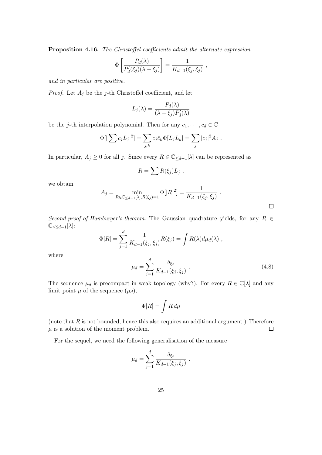Proposition 4.16. The Christoffel coefficients admit the alternate expression

$$
\Phi\left[\frac{P_d(\lambda)}{P'_d(\xi_j)(\lambda-\xi_j)}\right] = \frac{1}{K_{d-1}(\xi_j,\xi_j)},
$$

and in particular are positive.

*Proof.* Let  $A_j$  be the j-th Christoffel coefficient, and let

$$
L_j(\lambda) = \frac{P_d(\lambda)}{(\lambda - \xi_j)P'_d(\lambda)}
$$

be the *j*-th interpolation polynomial. Then for any  $c_1, \dots, c_d \in \mathbb{C}$ 

$$
\Phi[|\sum c_j L_j|^2] = \sum_{j,k} c_j \bar{c}_k \Phi[L_j \bar{L}_k] = \sum_j |c_j|^2 A_j.
$$

In particular,  $A_j \geq 0$  for all j. Since every  $R \in \mathbb{C}_{\leq d-1}[\lambda]$  can be represented as

$$
R=\sum R(\xi_j)L_j,
$$

we obtain

$$
A_j = \min_{R \in \mathbb{C}_{\leq d-1}[\lambda], R(\xi_j) = 1} \Phi[|R|^2] = \frac{1}{K_{d-1}(\xi_j, \xi_j)}.
$$

Second proof of Hamburger's theorem. The Gaussian quadrature yields, for any  $R \in$  $\mathbb{C}_{\leq 2d-1}[\lambda]$ :

$$
\Phi[R] = \sum_{j=1}^d \frac{1}{K_{d-1}(\xi_j, \xi_j)} R(\xi_j) = \int R(\lambda) d\mu_d(\lambda) ,
$$

where

$$
\mu_d = \sum_{j=1}^d \frac{\delta_{\xi_j}}{K_{d-1}(\xi_j, \xi_j)}.
$$
\n(4.8)

The sequence  $\mu_d$  is precompact in weak topology (why?). For every  $R \in \mathbb{C}[\lambda]$  and any limit point  $\mu$  of the sequence  $(\mu_d)$ ,

$$
\Phi[R]=\int R\,d\mu
$$

(note that  $R$  is not bounded, hence this also requires an additional argument.) Therefore  $\mu$  is a solution of the moment problem.  $\Box$ 

For the sequel, we need the following generalisation of the measure

$$
\mu_d = \sum_{j=1}^d \frac{\delta_{\xi_j}}{K_{d-1}(\xi_j, \xi_j)}.
$$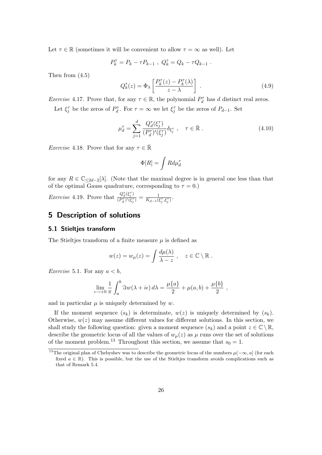Let  $\tau \in \mathbb{R}$  (sometimes it will be convenient to allow  $\tau = \infty$  as well). Let

$$
P_k^{\tau} = P_k - \tau P_{k-1} , Q_k^{\tau} = Q_k - \tau Q_{k-1} .
$$

Then from (4.5)

$$
Q_k^{\tau}(z) = \Phi_\lambda \left[ \frac{P_k^{\tau}(z) - P_k^{\tau}(\lambda)}{z - \lambda} \right] \tag{4.9}
$$

Exercise 4.17. Prove that, for any  $\tau \in \mathbb{R}$ , the polynomial  $P_d^{\tau}$  has d distinct real zeros.

Let  $\xi_j^{\tau}$  be the zeros of  $P_d^{\tau}$ . For  $\tau = \infty$  we let  $\xi_j^{\tau}$  be the zeros of  $P_{d-1}$ . Set

$$
\mu_d^{\tau} = \sum_{j=1}^d \frac{Q_d^{\tau}(\xi_j^{\tau})}{(P_d^{\tau})'(\xi_j^{\tau})} \delta_{\xi_j^{\tau}} , \quad \tau \in \mathbb{R} . \tag{4.10}
$$

*Exercise* 4.18. Prove that for any  $\tau \in \mathbb{R}$ 

$$
\Phi[R] = \int R d\mu_d^{\tau}
$$

for any  $R \in \mathbb{C}_{\leq 2d-2}[\lambda]$ . (Note that the maximal degree is in general one less than that of the optimal Gauss quadrature, corresponding to  $\tau = 0$ .)

*Exercise* 4.19. Prove that  $\frac{Q_d^{\tau}(\xi_j^{\tau})}{(P^{\tau})^{\prime}(\epsilon^{\tau})}$  $\frac{Q_d^{\tau}(\xi_j^{\tau})}{(P_d^{\tau})'(\xi_j^{\tau})} = \frac{1}{K_{d-1}(\xi_j^{\tau})}$  $\frac{1}{K_{d-1}(\xi_j^{\tau},\xi_j^{\tau})}$ .

## 5 Description of solutions

#### 5.1 Stieltjes transform

The Stieltjes transform of a finite measure  $\mu$  is defined as

$$
w(z) = w_{\mu}(z) = \int \frac{d\mu(\lambda)}{\lambda - z}, \quad z \in \mathbb{C} \setminus \mathbb{R}.
$$

*Exercise* 5.1. For any  $a < b$ ,

$$
\lim_{\epsilon \to +0} \frac{1}{\pi} \int_a^b \Im w(\lambda + i\epsilon) d\lambda = \frac{\mu\{a\}}{2} + \mu(a, b) + \frac{\mu\{b\}}{2} ,
$$

and in particular  $\mu$  is uniquely determined by w.

If the moment sequence  $(s_k)$  is determinate,  $w(z)$  is uniquely determined by  $(s_k)$ . Otherwise,  $w(z)$  may assume different values for different solutions. In this section, we shall study the following question: given a moment sequence  $(s_k)$  and a point  $z \in \mathbb{C} \setminus \mathbb{R}$ , describe the geometric locus of all the values of  $w_\mu(z)$  as  $\mu$  runs over the set of solutions of the moment problem.<sup>13</sup> Throughout this section, we assume that  $s_0 = 1$ .

<sup>&</sup>lt;sup>13</sup>The original plan of Chebyshev was to describe the geometric locus of the numbers  $\mu(-\infty, a]$  (for each fixed  $a \in \mathbb{R}$ ). This is possible, but the use of the Stieltjes transform avoids complications such as that of Remark 5.4.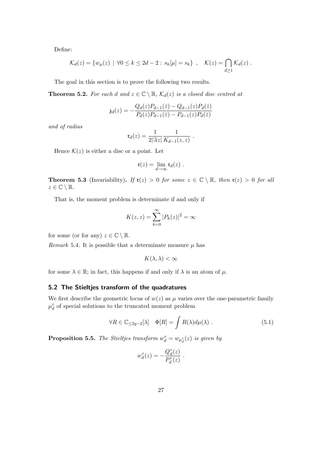Define:

$$
\mathcal{K}_d(z) = \{ w_\mu(z) \mid \forall 0 \le k \le 2d - 2 : s_k[\mu] = s_k \}, \quad \mathcal{K}(z) = \bigcap_{d \ge 1} \mathcal{K}_d(z) .
$$

The goal in this section is to prove the following two results.

**Theorem 5.2.** For each d and  $z \in \mathbb{C} \setminus \mathbb{R}$ ,  $\mathcal{K}_d(z)$  is a closed disc centred at

$$
\mathfrak{z}_d(z) = -\frac{Q_d(z)P_{d-1}(\bar{z}) - Q_{d-1}(z)P_d(\bar{z})}{P_d(z)P_{d-1}(\bar{z}) - P_{d-1}(z)P_d(\bar{z})}
$$

and of radius

$$
\mathfrak{r}_d(z) = \frac{1}{2|\Im z|} \frac{1}{K_{d-1}(z, z)}.
$$

Hence  $\mathcal{K}(z)$  is either a disc or a point. Let

$$
\mathfrak{r}(z)=\lim_{d\to\infty}\mathfrak{r}_d(z)\ .
$$

**Theorem 5.3** (Invariability). If  $\mathfrak{r}(z) > 0$  for some  $z \in \mathbb{C} \setminus \mathbb{R}$ , then  $\mathfrak{r}(z) > 0$  for all  $z \in \mathbb{C} \setminus \mathbb{R}$ .

That is, the moment problem is determinate if and only if

$$
K(z, z) = \sum_{k=0}^{\infty} |P_k(z)|^2 = \infty
$$

for some (or for any)  $z \in \mathbb{C} \setminus \mathbb{R}$ .

Remark 5.4. It is possible that a determinate measure  $\mu$  has

$$
K(\lambda, \lambda) < \infty
$$

for some  $\lambda \in \mathbb{R}$ ; in fact, this happens if and only if  $\lambda$  is an atom of  $\mu$ .

#### 5.2 The Stieltjes transform of the quadratures

We first describe the geometric locus of  $w(z)$  as  $\mu$  varies over the one-parametric family  $\mu^\tau_d$  of special solutions to the truncated moment problem

$$
\forall R \in \mathbb{C}_{\leq 2q-2}[\lambda] \quad \Phi[R] = \int R(\lambda) d\mu(\lambda) \ . \tag{5.1}
$$

**Proposition 5.5.** The Stieltjes transform  $w_d^{\tau} = w_{\mu_d^{\tau}}(z)$  is given by

$$
w_d^{\tau}(z) = -\frac{Q_d^{\tau}(z)}{P_d^{\tau}(z)}.
$$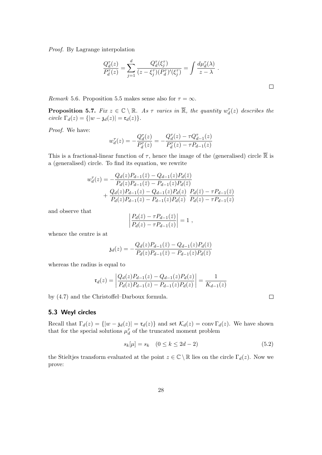Proof. By Lagrange interpolation

$$
\frac{Q_d^{\tau}(z)}{P_d^{\tau}(z)} = \sum_{j=1}^d \frac{Q_d^{\tau}(\xi_j^{\tau})}{(z - \xi_j^{\tau})(P_d^{\tau})'(\xi_j^{\tau})} = \int \frac{d\mu_d^{\tau}(\lambda)}{z - \lambda} .
$$

Remark 5.6. Proposition 5.5 makes sense also for  $\tau = \infty$ .

 $\overline{\phantom{a}}$  $\overline{\phantom{a}}$  $\overline{\phantom{a}}$  $\overline{1}$ 

**Proposition 5.7.** Fix  $z \in \mathbb{C} \setminus \mathbb{R}$ . As  $\tau$  varies in  $\overline{\mathbb{R}}$ , the quantity  $w_d^{\tau}(z)$  describes the circle  $\Gamma_d(z) = \{ |w - \mathfrak{z}_d(z)| = \mathfrak{r}_d(z) \}.$ 

Proof. We have:

$$
w_d^{\tau}(z) = -\frac{Q_d^{\tau}(z)}{P_d^{\tau}(z)} = -\frac{Q_d^{\tau}(z) - \tau Q_{d-1}^{\tau}(z)}{P_d^{\tau}(z) - \tau P_{d-1}(z)}
$$

This is a fractional-linear function of  $\tau$ , hence the image of the (generalised) circle  $\overline{\mathbb{R}}$  is a (generalised) circle. To find its equation, we rewrite

$$
w_d^{\tau}(z) = -\frac{Q_d(z)P_{d-1}(\bar{z}) - Q_{d-1}(z)P_d(\bar{z})}{P_d(z)P_{d-1}(\bar{z}) - P_{d-1}(z)P_d(\bar{z})} + \frac{Q_d(z)P_{d-1}(z) - Q_{d-1}(z)P_d(z)}{P_d(z)P_{d-1}(z) - P_{d-1}(z)P_d(z)} \frac{P_d(\bar{z}) - \tau P_{d-1}(\bar{z})}{P_d(z) - \tau P_{d-1}(z)}
$$

and observe that

$$
\frac{P_d(\bar{z}) - \tau P_{d-1}(\bar{z})}{P_d(z) - \tau P_{d-1}(z)} = 1 ,
$$

whence the centre is at

$$
\mathfrak{z}_d(z) = -\frac{Q_d(z)P_{d-1}(\bar{z}) - Q_{d-1}(z)P_d(\bar{z})}{P_d(z)P_{d-1}(\bar{z}) - P_{d-1}(z)P_d(\bar{z})}
$$

whereas the radius is equal to

$$
\mathfrak{r}_d(z) = \left| \frac{Q_d(z)P_{d-1}(z) - Q_{d-1}(z)P_d(z)}{P_d(z)P_{d-1}(z) - P_{d-1}(z)P_d(z)} \right| = \frac{1}{K_{d-1}(z)}
$$

by (4.7) and the Christoffel–Darboux formula.

#### 5.3 Weyl circles

Recall that  $\Gamma_d(z) = \{ |w - \mathfrak{z}_d(z)| = \mathfrak{r}_d(z) \}$  and set  $\mathcal{K}_d(z) = \text{conv } \Gamma_d(z)$ . We have shown that for the special solutions  $\mu^\tau_d$  of the truncated moment problem

$$
s_k[\mu] = s_k \quad (0 \le k \le 2d - 2) \tag{5.2}
$$

the Stieltjes transform evaluated at the point  $z \in \mathbb{C} \setminus \mathbb{R}$  lies on the circle  $\Gamma_d(z)$ . Now we prove: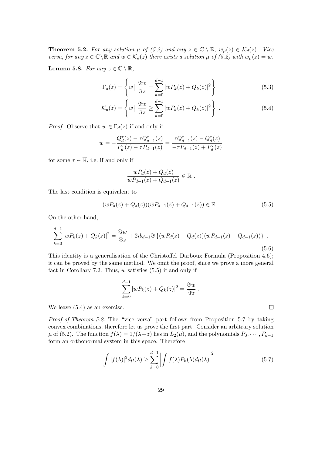**Theorem 5.2.** For any solution  $\mu$  of (5.2) and any  $z \in \mathbb{C} \setminus \mathbb{R}$ ,  $w_{\mu}(z) \in \mathcal{K}_d(z)$ . Vice versa, for any  $z \in \mathbb{C} \backslash \mathbb{R}$  and  $w \in \mathcal{K}_d(z)$  there exists a solution  $\mu$  of (5.2) with  $w_\mu(z) = w$ .

**Lemma 5.8.** For any  $z \in \mathbb{C} \setminus \mathbb{R}$ ,

$$
\Gamma_d(z) = \left\{ w \mid \frac{\Im w}{\Im z} = \sum_{k=0}^{d-1} |wP_k(z) + Q_k(z)|^2 \right\}
$$
(5.3)

$$
\mathcal{K}_d(z) = \left\{ w \mid \frac{\Im w}{\Im z} \ge \sum_{k=0}^{d-1} |w P_k(z) + Q_k(z)|^2 \right\} \ . \tag{5.4}
$$

*Proof.* Observe that  $w \in \Gamma_d(z)$  if and only if

$$
w = -\frac{Q_d^{\tau}(z) - \tau Q_{d-1}^{\tau}(z)}{P_d^{\tau}(z) - \tau P_{d-1}(z)} = \frac{\tau Q_{d-1}^{\tau}(z) - Q_d^{\tau}(z)}{-\tau P_{d-1}(z) + P_d^{\tau}(z)}
$$

for some  $\tau \in \overline{\mathbb{R}}$ , i.e. if and only if

$$
\frac{wP_d(z) + Q_d(z)}{wP_{d-1}(z) + Q_{d-1}(z)} \in \overline{\mathbb{R}}.
$$

The last condition is equivalent to

$$
(wP_d(z) + Q_d(z))(\bar{w}P_{d-1}(\bar{z}) + Q_{d-1}(\bar{z})) \in \mathbb{R} .
$$
 (5.5)

On the other hand,

$$
\sum_{k=0}^{d-1} |wP_k(z) + Q_k(z)|^2 = \frac{\Im w}{\Im z} + 2ib_{d-1} \Im \left\{ (wP_d(z) + Q_d(z)) (\bar{w}P_{d-1}(\bar{z}) + Q_{d-1}(\bar{z})) \right\} \ .
$$
\n(5.6)

This identity is a generalisation of the Christoffel–Darboux Formula (Proposition 4.6); it can be proved by the same method. We omit the proof, since we prove a more general fact in Corollary 7.2. Thus,  $w$  satisfies  $(5.5)$  if and only if

$$
\sum_{k=0}^{d-1} |wP_k(z) + Q_k(z)|^2 = \frac{\Im w}{\Im z}.
$$

We leave (5.4) as an exercise.

Proof of Theorem 5.2. The "vice versa" part follows from Proposition 5.7 by taking convex combinations, therefore let us prove the first part. Consider an arbitrary solution  $\mu$  of (5.2). The function  $f(\lambda) = 1/(\lambda - z)$  lies in  $L_2(\mu)$ , and the polynomials  $P_0, \dots, P_{d-1}$ form an orthonormal system in this space. Therefore

$$
\int |f(\lambda)|^2 d\mu(\lambda) \ge \sum_{k=0}^{d-1} \left| \int f(\lambda) P_k(\lambda) d\mu(\lambda) \right|^2.
$$
 (5.7)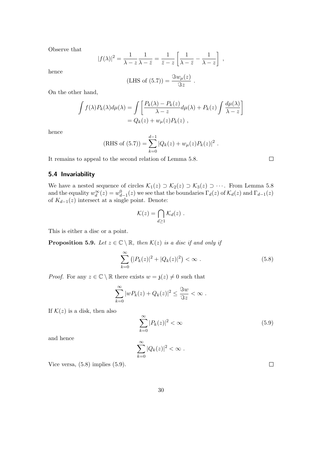Observe that

$$
|f(\lambda)|^2 = \frac{1}{\lambda - z} \frac{1}{\lambda - \bar{z}} = \frac{1}{\bar{z} - z} \left[ \frac{1}{\lambda - \bar{z}} - \frac{1}{\lambda - z} \right],
$$

hence

(LHS of (5.7)) = 
$$
\frac{\Im w_{\mu}(z)}{\Im z}.
$$

On the other hand,

$$
\int f(\lambda)P_k(\lambda)d\mu(\lambda) = \int \left[ \frac{P_k(\lambda) - P_k(z)}{\lambda - z} d\mu(\lambda) + P_k(z) \int \frac{d\mu(\lambda)}{\lambda - z} \right]
$$
  
=  $Q_k(z) + w_\mu(z)P_k(z)$ ,

hence

(RHS of (5.7)) = 
$$
\sum_{k=0}^{d-1} |Q_k(z) + w_\mu(z)P_k(z)|^2.
$$

It remains to appeal to the second relation of Lemma 5.8.

## 5.4 Invariability

We have a nested sequence of circles  $\mathcal{K}_1(z) \supset \mathcal{K}_2(z) \supset \mathcal{K}_3(z) \supset \cdots$ . From Lemma 5.8 and the equality  $w_d^{\infty}(z) = w_{d-1}^0(z)$  we see that the boundaries  $\Gamma_d(z)$  of  $\mathcal{K}_d(z)$  and  $\Gamma_{d-1}(z)$ of  $K_{d-1}(z)$  intersect at a single point. Denote:

$$
\mathcal{K}(z) = \bigcap_{d \geq 1} \mathcal{K}_d(z) \ .
$$

This is either a disc or a point.

**Proposition 5.9.** Let  $z \in \mathbb{C} \setminus \mathbb{R}$ , then  $\mathcal{K}(z)$  is a disc if and only if

$$
\sum_{k=0}^{\infty} (|P_k(z)|^2 + |Q_k(z)|^2) < \infty \tag{5.8}
$$

*Proof.* For any  $z \in \mathbb{C} \setminus \mathbb{R}$  there exists  $w = \mathfrak{z}(z) \neq 0$  such that

$$
\sum_{k=0}^{\infty} |wP_k(z) + Q_k(z)|^2 \le \frac{\Im w}{\Im z} < \infty.
$$

If  $\mathcal{K}(z)$  is a disk, then also

$$
\sum_{k=0}^{\infty} |P_k(z)|^2 < \infty \tag{5.9}
$$

and hence

$$
\sum_{k=0}^{\infty} |Q_k(z)|^2 < \infty.
$$

Vice versa, (5.8) implies (5.9).

 $\hfill \square$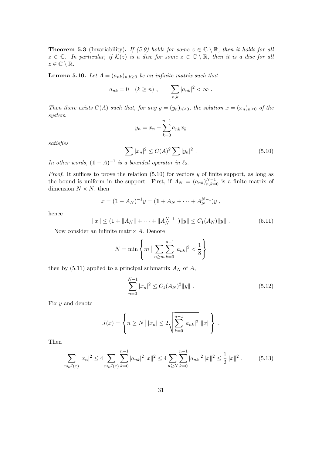**Theorem 5.3** (Invariability). If (5.9) holds for some  $z \in \mathbb{C} \setminus \mathbb{R}$ , then it holds for all  $z \in \mathbb{C}$ . In particular, if  $\mathcal{K}(z)$  is a disc for some  $z \in \mathbb{C} \setminus \mathbb{R}$ , then it is a disc for all  $z \in \mathbb{C} \setminus \mathbb{R}$ .

**Lemma 5.10.** Let  $A = (a_{nk})_{n,k \geq 0}$  be an infinite matrix such that

$$
a_{nk} = 0 \quad (k \ge n) , \qquad \sum_{n,k} |a_{nk}|^2 < \infty .
$$

Then there exists  $C(A)$  such that, for any  $y = (y_n)_{n \geq 0}$ , the solution  $x = (x_n)_{n \geq 0}$  of the system

$$
y_n = x_n - \sum_{k=0}^{n-1} a_{nk} x_k
$$

satisfies

$$
\sum |x_n|^2 \le C(A)^2 \sum |y_n|^2 . \tag{5.10}
$$

In other words,  $(1 - A)^{-1}$  is a bounded operator in  $\ell_2$ .

*Proof.* It suffices to prove the relation  $(5.10)$  for vectors y of finite support, as long as the bound is uniform in the support. First, if  $A_N = (a_{nk})_{n,k=0}^{N-1}$  is a finite matrix of dimension  $N \times N$ , then

$$
x = (1 - A_N)^{-1}y = (1 + A_N + \dots + A_N^{N-1})y,
$$

hence

$$
||x|| \le (1 + ||A_N|| + \dots + ||A_N^{N-1}||) ||y|| \le C_1(A_N) ||y||.
$$
 (5.11)

Now consider an infinite matrix A. Denote

$$
N = \min\left\{m \mid \sum_{n \ge m} \sum_{k=0}^{n-1} |a_{nk}|^2 < \frac{1}{8}\right\}
$$

then by (5.11) applied to a principal submatrix  $A_N$  of A,

$$
\sum_{n=0}^{N-1} |x_n|^2 \le C_1 (A_N)^2 \|y\| \tag{5.12}
$$

Fix y and denote

$$
J(x) = \left\{ n \ge N \, | \, |x_n| \le 2 \sqrt{\sum_{k=0}^{n-1} |a_{nk}|^2} \, ||x|| \right\} \, .
$$

Then

$$
\sum_{n \in J(x)} |x_n|^2 \le 4 \sum_{n \in J(x)} \sum_{k=0}^{n-1} |a_{nk}|^2 ||x||^2 \le 4 \sum_{n \ge N} \sum_{k=0}^{n-1} |a_{nk}|^2 ||x||^2 \le \frac{1}{2} ||x||^2. \tag{5.13}
$$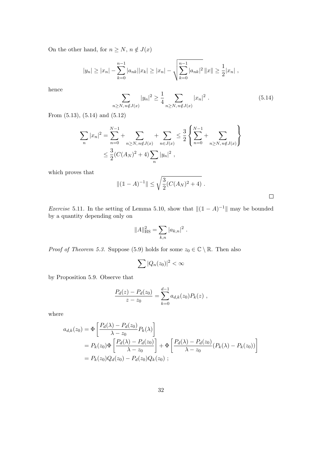On the other hand, for  $n \geq N,$   $n \notin J(x)$ 

$$
|y_n| \ge |x_n| - \sum_{k=0}^{n-1} |a_{nk}| |x_k| \ge |x_n| - \sqrt{\sum_{k=0}^{n-1} |a_{nk}|^2} ||x|| \ge \frac{1}{2} |x_n| ,
$$

hence

$$
\sum_{n \ge N, n \notin J(x)} |y_n|^2 \ge \frac{1}{4} \sum_{n \ge N, n \notin J(x)} |x_n|^2.
$$
 (5.14)

From (5.13), (5.14) and (5.12)

$$
\sum_{n} |x_{n}|^{2} = \sum_{n=0}^{N-1} + \sum_{n \ge N, n \notin J(x)} + \sum_{n \in J(x)} \le \frac{3}{2} \left\{ \sum_{n=0}^{N-1} + \sum_{n \ge N, n \notin J(x)} \right\}
$$
  

$$
\le \frac{3}{2} (C(A_{N})^{2} + 4) \sum_{n} |y_{n}|^{2},
$$

which proves that

$$
\| (1 - A)^{-1} \| \le \sqrt{\frac{3}{2} (C(A_N)^2 + 4)}.
$$

*Exercise* 5.11. In the setting of Lemma 5.10, show that  $||(1 - A)^{-1}||$  may be bounded by a quantity depending only on

$$
||A||_{\text{HS}}^2 = \sum_{k,n} |a_{k,n}|^2.
$$

*Proof of Theorem 5.3.* Suppose (5.9) holds for some  $z_0 \in \mathbb{C} \setminus \mathbb{R}$ . Then also

$$
\sum |Q_n(z_0)|^2 < \infty
$$

by Proposition 5.9. Observe that

$$
\frac{P_d(z) - P_d(z_0)}{z - z_0} = \sum_{k=0}^{d-1} a_{d,k}(z_0) P_k(z) ,
$$

where

$$
a_{d,k}(z_0) = \Phi \left[ \frac{P_d(\lambda) - P_d(z_0)}{\lambda - z_0} P_k(\lambda) \right]
$$
  
=  $P_k(z_0) \Phi \left[ \frac{P_d(\lambda) - P_d(z_0)}{\lambda - z_0} \right] + \Phi \left[ \frac{P_d(\lambda) - P_d(z_0)}{\lambda - z_0} (P_k(\lambda) - P_k(z_0)) \right]$   
=  $P_k(z_0) Q_d(z_0) - P_d(z_0) Q_k(z_0)$ ;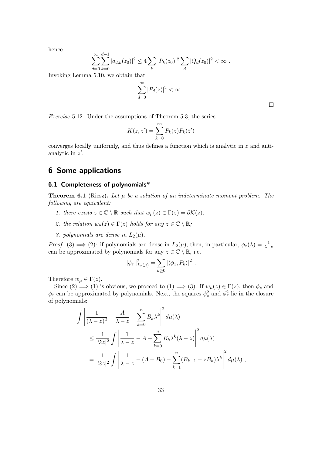hence

$$
\sum_{d=0}^{\infty} \sum_{k=0}^{d-1} |a_{d,k}(z_0)|^2 \le 4 \sum_{k} |P_k(z_0)|^2 \sum_{d} |Q_d(z_0)|^2 < \infty.
$$

Invoking Lemma 5.10, we obtain that

$$
\sum_{d=0}^{\infty} |P_d(z)|^2 < \infty \; .
$$

 $\Box$ 

Exercise 5.12. Under the assumptions of Theorem 5.3, the series

$$
K(z, z') = \sum_{k=0}^{\infty} P_k(z) P_k(\bar{z}')
$$

converges locally uniformly, and thus defines a function which is analytic in z and antianalytic in  $z'$ .

# 6 Some applications

#### 6.1 Completeness of polynomials\*

**Theorem 6.1** (Riesz). Let  $\mu$  be a solution of an indeterminate moment problem. The following are equivalent:

- 1. there exists  $z \in \mathbb{C} \setminus \mathbb{R}$  such that  $w_{\mu}(z) \in \Gamma(z) = \partial \mathcal{K}(z)$ ;
- 2. the relation  $w_{\mu}(z) \in \Gamma(z)$  holds for any  $z \in \mathbb{C} \setminus \mathbb{R}$ ;
- 3. polynomials are dense in  $L_2(\mu)$ .

*Proof.* (3)  $\implies$  (2): if polynomials are dense in  $L_2(\mu)$ , then, in particular,  $\phi_z(\lambda) = \frac{1}{\lambda - z}$ can be approximated by polynomials for any  $z \in \mathbb{C} \setminus \mathbb{R}$ , i.e.

$$
\|\phi_z\|_{L_2(\mu)}^2 = \sum_{k\geq 0} |\langle \phi_z, P_k \rangle|^2.
$$

Therefore  $w_{\mu} \in \Gamma(z)$ .

Since  $(2) \implies (1)$  is obvious, we proceed to  $(1) \implies (3)$ . If  $w_{\mu}(z) \in \Gamma(z)$ , then  $\phi_z$  and  $\phi_{\bar{z}}$  can be approximated by polynomials. Next, the squares  $\phi_z^2$  and  $\phi_{\bar{z}}^2$  lie in the closure of polynomials:

$$
\int \left| \frac{1}{(\lambda - z)^2} - \frac{A}{\lambda - z} - \sum_{k=0}^n B_k \lambda^k \right|^2 d\mu(\lambda)
$$
  
\n
$$
\leq \frac{1}{|\Im z|^2} \int \left| \frac{1}{\lambda - z} - A - \sum_{k=0}^n B_k \lambda^k (\lambda - z) \right|^2 d\mu(\lambda)
$$
  
\n
$$
= \frac{1}{|\Im z|^2} \int \left| \frac{1}{\lambda - z} - (A + B_0) - \sum_{k=1}^n (B_{k-1} - zB_k) \lambda^k \right|^2 d\mu(\lambda),
$$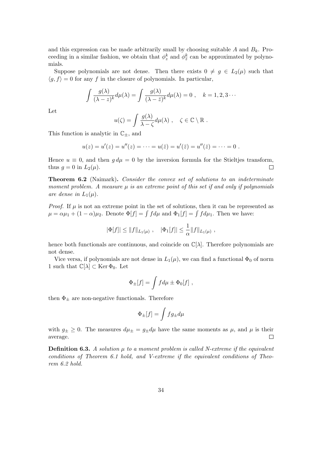and this expression can be made arbitrarily small by choosing suitable  $A$  and  $B_k$ . Proceeding in a similar fashion, we obtain that  $\phi_z^k$  and  $\phi_{\bar{z}}^k$  can be approximated by polynomials.

Suppose polynomials are not dense. Then there exists  $0 \neq g \in L_2(\mu)$  such that  $\langle g, f \rangle = 0$  for any f in the closure of polynomials. In particular,

$$
\int \frac{g(\lambda)}{(\lambda - z)^k} d\mu(\lambda) = \int \frac{g(\lambda)}{(\lambda - \bar{z})^k} d\mu(\lambda) = 0, \quad k = 1, 2, 3 \cdots
$$

Let

$$
u(\zeta) = \int \frac{g(\lambda)}{\lambda - \zeta} d\mu(\lambda) , \quad \zeta \in \mathbb{C} \setminus \mathbb{R} .
$$

This function is analytic in  $\mathbb{C}_{\pm}$ , and

$$
u(z) = u'(z) = u''(z) = \cdots = u(\bar{z}) = u'(\bar{z}) = u''(\bar{z}) = \cdots = 0.
$$

Hence  $u \equiv 0$ , and then  $g d\mu = 0$  by the inversion formula for the Stieltjes transform, thus  $g = 0$  in  $L_2(\mu)$ .  $\Box$ 

**Theorem 6.2** (Naimark). Consider the convex set of solutions to an indeterminate moment problem. A measure  $\mu$  is an extreme point of this set if and only if polynomials are dense in  $L_1(\mu)$ .

*Proof.* If  $\mu$  is not an extreme point in the set of solutions, then it can be represented as  $\mu = \alpha \mu_1 + (1 - \alpha)\mu_2$ . Denote  $\Phi[f] = \int f d\mu$  and  $\Phi_1[f] = \int f d\mu_1$ . Then we have:

$$
|\Phi[f]| \le ||f||_{L_1(\mu)}, \quad |\Phi_1[f]| \le \frac{1}{\alpha} ||f||_{L_1(\mu)},
$$

hence both functionals are continuous, and coincide on  $\mathbb{C}[\lambda]$ . Therefore polynomials are not dense.

Vice versa, if polynomials are not dense in  $L_1(\mu)$ , we can find a functional  $\Phi_0$  of norm 1 such that  $\mathbb{C}[\lambda] \subset \text{Ker } \Phi_0$ . Let

$$
\Phi_{\pm}[f] = \int f d\mu \pm \Phi_0[f] ,
$$

then  $\Phi_{\pm}$  are non-negative functionals. Therefore

$$
\Phi_{\pm}[f] = \int fg_{\pm} d\mu
$$

with  $g_{\pm} \geq 0$ . The measures  $d\mu_{\pm} = g_{\pm} d\mu$  have the same moments as  $\mu$ , and  $\mu$  is their average.  $\Box$ 

**Definition 6.3.** A solution  $\mu$  to a moment problem is called N-extreme if the equivalent conditions of Theorem 6.1 hold, and V-extreme if the equivalent conditions of Theorem 6.2 hold.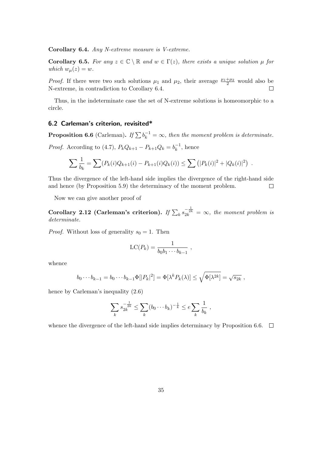Corollary 6.4. Any N-extreme measure is V-extreme.

Corollary 6.5. For any  $z \in \mathbb{C} \setminus \mathbb{R}$  and  $w \in \Gamma(z)$ , there exists a unique solution  $\mu$  for which  $w_{\mu}(z) = w$ .

*Proof.* If there were two such solutions  $\mu_1$  and  $\mu_2$ , their average  $\frac{\mu_1+\mu_2}{2}$  would also be N-extreme, in contradiction to Corollary 6.4.

Thus, in the indeterminate case the set of N-extreme solutions is homeomorphic to a circle.

## 6.2 Carleman's criterion, revisited\*

**Proposition 6.6** (Carleman). If  $\sum b_k^{-1} = \infty$ , then the moment problem is determinate.

*Proof.* According to (4.7),  $P_k Q_{k+1} - P_{k+1} Q_k = b_k^{-1}$  $\bar{k}^{-1}$ , hence

$$
\sum \frac{1}{b_k} = \sum (P_k(i)Q_{k+1}(i) - P_{k+1}(i)Q_k(i)) \le \sum (|P_k(i)|^2 + |Q_k(i)|^2) .
$$

Thus the divergence of the left-hand side implies the divergence of the right-hand side and hence (by Proposition 5.9) the determinacy of the moment problem.  $\Box$ 

Now we can give another proof of

Corollary 2.12 (Carleman's criterion). If  $\sum_k s_{2k}^{-\frac{1}{2k}} = \infty$ , the moment problem is determinate.

*Proof.* Without loss of generality  $s_0 = 1$ . Then

$$
LC(P_k) = \frac{1}{b_0b_1\cdots b_{k-1}} ,
$$

whence

$$
b_0\cdots b_{k-1}=b_0\cdots b_{k-1}\Phi[|P_k|^2]=\Phi[\lambda^k P_k(\lambda)]\leq \sqrt{\Phi[\lambda^{2k}]}=\sqrt{s_{2k}}\ ,
$$

hence by Carleman's inequality  $(2.6)$ 

$$
\sum_{k} s_{2k}^{-\frac{1}{2k}} \leq \sum_{k} (b_0 \cdots b_k)^{-\frac{1}{k}} \leq e \sum_{k} \frac{1}{b_k} ,
$$

whence the divergence of the left-hand side implies determinacy by Proposition 6.6.  $\Box$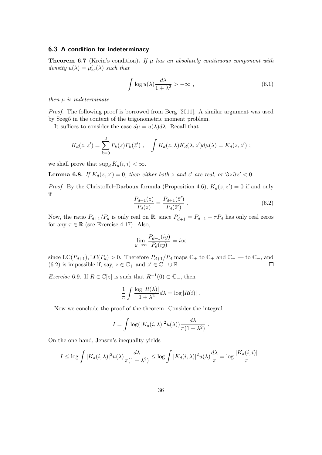#### 6.3 A condition for indeterminacy

**Theorem 6.7** (Krein's condition). If  $\mu$  has an absolutely continuous component with density  $u(\lambda) = \mu'_{\rm ac}(\lambda)$  such that

$$
\int \log u(\lambda) \frac{d\lambda}{1 + \lambda^2} > -\infty , \qquad (6.1)
$$

then  $\mu$  is indeterminate.

Proof. The following proof is borrowed from Berg [2011]. A similar argument was used by Szegő in the context of the trigonometric moment problem.

It suffices to consider the case  $d\mu = u(\lambda)d\lambda$ . Recall that

$$
K_d(z, z') = \sum_{k=0}^d P_k(z) P_k(\bar{z}'), \quad \int K_d(z, \lambda) K_d(\lambda, z') d\mu(\lambda) = K_d(z, z') ;
$$

we shall prove that  $\sup_d K_d(i, i) < \infty$ .

**Lemma 6.8.** If  $K_d(z, z') = 0$ , then either both z and z' are real, or  $\Im z \Im z' < 0$ .

*Proof.* By the Christoffel-Darboux formula (Proposition 4.6),  $K_d(z, z') = 0$  if and only if

$$
\frac{P_{d+1}(z)}{P_d(z)} = \frac{P_{d+1}(\bar{z}')}{P_d(\bar{z}')} \ . \tag{6.2}
$$

Now, the ratio  $P_{d+1}/P_d$  is only real on  $\mathbb{R}$ , since  $P_{d+1}^{\tau} = P_{d+1} - \tau P_d$  has only real zeros for any  $\tau \in \mathbb{R}$  (see Exercise 4.17). Also,

$$
\lim_{y \to \infty} \frac{P_{d+1}(iy)}{P_d(iy)} = i\infty
$$

since  $LC(P_{d+1}), LC(P_d) > 0$ . Therefore  $P_{d+1}/P_d$  maps  $\mathbb{C}_+$  to  $\mathbb{C}_+$  and  $\mathbb{C}_-$  to  $\mathbb{C}_-$ , and (6.2) is impossible if, say,  $z \in \mathbb{C}_+$  and  $z' \in \mathbb{C}_- \cup \mathbb{R}$ .  $\Box$ 

*Exercise* 6.9. If  $R \in \mathbb{C}[z]$  is such that  $R^{-1}(0) \subset \mathbb{C}_-$ , then

$$
\frac{1}{\pi} \int \frac{\log |R(\lambda)|}{1 + \lambda^2} d\lambda = \log |R(i)|.
$$

Now we conclude the proof of the theorem. Consider the integral

$$
I = \int \log(|K_d(i,\lambda)|^2 u(\lambda)) \frac{d\lambda}{\pi(1+\lambda^2)}.
$$

On the one hand, Jensen's inequality yields

$$
I \leq \log \int |K_d(i,\lambda)|^2 u(\lambda) \frac{d\lambda}{\pi(1+\lambda^2)} \leq \log \int |K_d(i,\lambda)|^2 u(\lambda) \frac{d\lambda}{\pi} = \log \frac{|K_d(i,i)|}{\pi}.
$$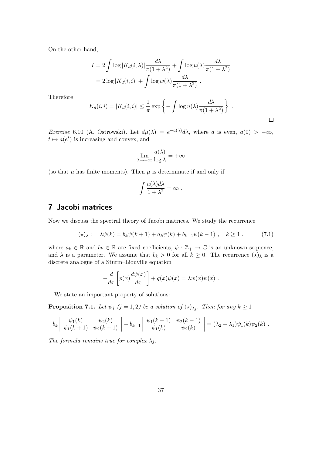On the other hand,

$$
I = 2 \int \log |K_d(i, \lambda)| \frac{d\lambda}{\pi (1 + \lambda^2)} + \int \log u(\lambda) \frac{d\lambda}{\pi (1 + \lambda^2)}
$$
  
=  $2 \log |K_d(i, i)| + \int \log w(\lambda) \frac{d\lambda}{\pi (1 + \lambda^2)}$ .

Therefore

$$
K_d(i,i) = |K_d(i,i)| \le \frac{1}{\pi} \exp\left\{-\int \log u(\lambda) \frac{d\lambda}{\pi(1+\lambda^2)}\right\} .
$$

Exercise 6.10 (A. Ostrowski). Let  $d\mu(\lambda) = e^{-a(\lambda)}d\lambda$ , where a is even,  $a(0) > -\infty$ ,  $t \mapsto a(e^t)$  is increasing and convex, and

$$
\lim_{\lambda \to +\infty} \frac{a(\lambda)}{\log \lambda} = +\infty
$$

(so that  $\mu$  has finite moments). Then  $\mu$  is determinate if and only if

$$
\int \frac{a(\lambda)d\lambda}{1+\lambda^2} = \infty.
$$

# 7 Jacobi matrices

Now we discuss the spectral theory of Jacobi matrices. We study the recurrence

$$
(\star)_\lambda: \quad \lambda \psi(k) = b_k \psi(k+1) + a_k \psi(k) + b_{k-1} \psi(k-1) \;, \quad k \ge 1 \;, \tag{7.1}
$$

where  $a_k \in \mathbb{R}$  and  $b_k \in \mathbb{R}$  are fixed coefficients,  $\psi : \mathbb{Z}_+ \to \mathbb{C}$  is an unknown sequence, and  $\lambda$  is a parameter. We assume that  $b_k > 0$  for all  $k \geq 0$ . The recurrence  $(\star)_{\lambda}$  is a discrete analogue of a Sturm–Liouville equation

$$
-\frac{d}{dx}\left[p(x)\frac{d\psi(x)}{dx}\right] + q(x)\psi(x) = \lambda w(x)\psi(x) .
$$

We state an important property of solutions:

**Proposition 7.1.** Let  $\psi_j$   $(j = 1, 2)$  be a solution of  $(\star)_{\lambda_j}$ . Then for any  $k \geq 1$ 

$$
b_k \begin{vmatrix} \psi_1(k) & \psi_2(k) \\ \psi_1(k+1) & \psi_2(k+1) \end{vmatrix} - b_{k-1} \begin{vmatrix} \psi_1(k-1) & \psi_2(k-1) \\ \psi_1(k) & \psi_2(k) \end{vmatrix} = (\lambda_2 - \lambda_1) \psi_1(k) \psi_2(k).
$$

The formula remains true for complex  $\lambda_i$ .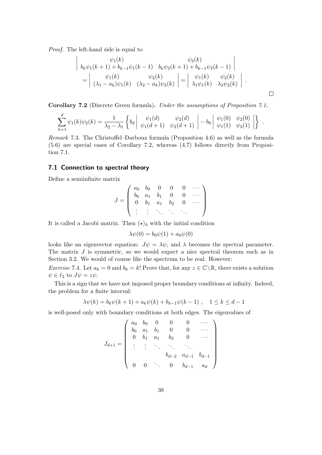Proof. The left-hand side is equal to

$$
\begin{vmatrix}\n\psi_1(k) & \psi_2(k) \\
b_k \psi_1(k+1) + b_{k-1} \psi_1(k-1) & b_k \psi_2(k+1) + b_{k-1} \psi_2(k-1) \\
\psi_1(k) & \psi_2(k) \\
(\lambda_1 - a_k) \psi_1(k) & (\lambda_2 - a_k) \psi_2(k)\n\end{vmatrix} = \begin{vmatrix}\n\psi_1(k) & \psi_2(k) \\
\lambda_1 \psi_1(k) & \lambda_2 \psi_2(k)\n\end{vmatrix}.
$$

.

Corollary 7.2 (Discrete Green formula). Under the assumptions of Proposition 7.1,

$$
\sum_{k=1}^{d} \psi_1(k)\psi_2(k) = \frac{1}{\lambda_2 - \lambda_1} \left\{ b_d \left| \begin{array}{cc} \psi_1(d) & \psi_2(d) \\ \psi_1(d+1) & \psi_2(d+1) \end{array} \right| - b_0 \left| \begin{array}{cc} \psi_1(0) & \psi_2(0) \\ \psi_1(1) & \psi_2(1) \end{array} \right| \right\}
$$

Remark 7.3. The Christoffel–Darboux formula (Proposition 4.6) as well as the formula (5.6) are special cases of Corollary 7.2, whereas (4.7) follows directly from Proposition 7.1.

#### 7.1 Connection to spectral theory

Define a semiinfinite matrix

$$
J = \left( \begin{array}{cccccc} a_0 & b_0 & 0 & 0 & 0 & \cdots \\ b_0 & a_1 & b_1 & 0 & 0 & \cdots \\ 0 & b_1 & a_1 & b_2 & 0 & \cdots \\ \vdots & \vdots & \ddots & \ddots & \ddots \end{array} \right)
$$

It is called a Jacobi matrix. Then  $(\star)_{\lambda}$  with the initial condition

$$
\lambda \psi(0) = b_0 \psi(1) + a_0 \psi(0)
$$

looks like an eigenvector equation:  $J\psi = \lambda \psi$ , and  $\lambda$  becomes the spectral parameter. The matrix  $J$  is symmetric, so we would expect a nice spectral theorem such as in Section 3.2. We would of course like the spectrum to be real. However:

*Exercise* 7.4. Let  $a_k = 0$  and  $b_k = k!$  Prove that, for any  $z \in \mathbb{C} \setminus \mathbb{R}$ , there exists a solution  $\psi \in \ell_2$  to  $J\psi = z\psi$ .

This is a sign that we have not imposed proper boundary conditions at infinity. Indeed, the problem for a finite interval:

$$
\lambda \psi(k) = b_k \psi(k+1) + a_k \psi(k) + b_{k-1} \psi(k-1) , \quad 1 \le k \le d-1
$$

is well-posed only with boundary conditions at both edges. The eigenvalues of

$$
J_{d+1} = \begin{pmatrix} a_0 & b_0 & 0 & 0 & 0 & \cdots \\ b_0 & a_1 & b_1 & 0 & 0 & \cdots \\ 0 & b_1 & a_1 & b_2 & 0 & \cdots \\ \vdots & \vdots & \ddots & \ddots & \ddots & \vdots \\ b_{d-2} & a_{d-1} & b_{d-1} & \cdots & \vdots \\ 0 & 0 & \cdots & 0 & b_{d-1} & a_d \end{pmatrix}
$$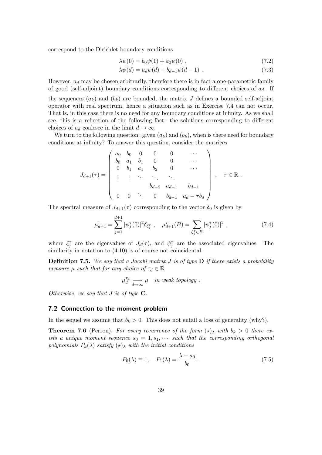correspond to the Dirichlet boundary conditions

$$
\lambda \psi(0) = b_0 \psi(1) + a_0 \psi(0) , \qquad (7.2)
$$

$$
\lambda \psi(d) = a_d \psi(d) + b_{d-1} \psi(d-1) \tag{7.3}
$$

However,  $a_d$  may be chosen arbitrarily, therefore there is in fact a one-parametric family of good (self-adjoint) boundary conditions corresponding to different choices of  $a_d$ . If

the sequences  $(a_k)$  and  $(b_k)$  are bounded, the matrix J defines a bounded self-adjoint operator with real spectrum, hence a situation such as in Exercise 7.4 can not occur. That is, in this case there is no need for any boundary conditions at infinity. As we shall see, this is a reflection of the following fact: the solutions corresponding to different choices of  $a_d$  coalesce in the limit  $d \to \infty$ .

We turn to the following question: given  $(a_k)$  and  $(b_k)$ , when is there need for boundary conditions at infinity? To answer this question, consider the matrices

$$
J_{d+1}(\tau) = \begin{pmatrix} a_0 & b_0 & 0 & 0 & 0 & \cdots \\ b_0 & a_1 & b_1 & 0 & 0 & \cdots \\ 0 & b_1 & a_1 & b_2 & 0 & \cdots \\ \vdots & \vdots & \ddots & \ddots & \ddots & \vdots \\ b_{d-2} & a_{d-1} & b_{d-1} & \cdots & \vdots \\ 0 & 0 & \cdots & 0 & b_{d-1} & a_d - \tau b_d \end{pmatrix}, \quad \tau \in \mathbb{R}.
$$

The spectral measure of  $J_{d+1}(\tau)$  corresponding to the vector  $\delta_0$  is given by

$$
\mu_{d+1}^{\tau} = \sum_{j=1}^{d+1} |\psi_j^{\tau}(0)|^2 \delta_{\xi_j^{\tau}}, \quad \mu_{d+1}^{\tau}(B) = \sum_{\xi_j^{\tau} \in B} |\psi_j^{\tau}(0)|^2 , \qquad (7.4)
$$

where  $\xi_j^{\tau}$  are the eigenvalues of  $J_d(\tau)$ , and  $\psi_j^{\tau}$  are the associated eigenvalues. The similarity in notation to  $(4.10)$  is of course not coincidental.

**Definition 7.5.** We say that a Jacobi matrix J is of type  $\bf{D}$  if there exists a probability measure  $\mu$  such that for any choice of  $\tau_d \in \mathbb{R}$ 

$$
\mu_d^{\tau_d} \underset{d \to \infty}{\longrightarrow} \mu \quad in \ weak \ topology \ .
$$

Otherwise, we say that  $J$  is of type  $C$ .

#### 7.2 Connection to the moment problem

In the sequel we assume that  $b_k > 0$ . This does not entail a loss of generality (why?).

**Theorem 7.6** (Perron). For every recurrence of the form  $(\star)_{\lambda}$  with  $b_k > 0$  there exists a unique moment sequence  $s_0 = 1, s_1, \cdots$  such that the corresponding orthogonal polynomials  $P_k(\lambda)$  satisfy  $(\star)_{\lambda}$  with the initial conditions

$$
P_0(\lambda) \equiv 1, \quad P_1(\lambda) = \frac{\lambda - a_0}{b_0} \tag{7.5}
$$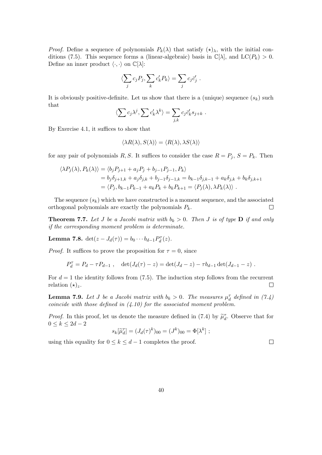*Proof.* Define a sequence of polynomials  $P_k(\lambda)$  that satisfy  $(\star)_{\lambda}$ , with the initial conditions (7.5). This sequence forms a (linear-algebraic) basis in  $\mathbb{C}[\lambda]$ , and  $LC(P_k) > 0$ . Define an inner product  $\langle \cdot, \cdot \rangle$  on  $\mathbb{C}[\lambda]$ :

$$
\langle \sum_j c_j P_j, \sum_k c'_k P_k \rangle = \sum_j c_j \vec{c}'_j.
$$

It is obviously positive-definite. Let us show that there is a (unique) sequence  $(s_k)$  such that

$$
\langle \sum c_j \lambda^j, \sum c'_k \lambda^k \rangle = \sum_{j,k} c_j \vec{c}'_k s_{j+k} .
$$

By Exercise 4.1, it suffices to show that

$$
\langle \lambda R(\lambda), S(\lambda) \rangle = \langle R(\lambda), \lambda S(\lambda) \rangle
$$

for any pair of polynomials R, S. It suffices to consider the case  $R = P_j$ ,  $S = P_k$ . Then

$$
\langle \lambda P_j(\lambda), P_k(\lambda) \rangle = \langle b_j P_{j+1} + a_j P_j + b_{j-1} P_{j-1}, P_k \rangle
$$
  
=  $b_j \delta_{j+1,k} + a_j \delta_{j,k} + b_{j-1} \delta_{j-1,k} = b_{k-1} \delta_{j,k-1} + a_k \delta_{j,k} + b_k \delta_{j,k+1}$   
=  $\langle P_j, b_{k-1} P_{k-1} + a_k P_k + b_k P_{k+1} = \langle P_j(\lambda), \lambda P_k(\lambda) \rangle$ .

The sequence  $(s_k)$  which we have constructed is a moment sequence, and the associated orthogonal polynomials are exactly the polynomials  $P_k$ .  $\Box$ 

**Theorem 7.7.** Let J be a Jacobi matrix with  $b_k > 0$ . Then J is of type **D** if and only if the corresponding moment problem is determinate.

**Lemma 7.8.**  $det(z - J_d(\tau)) = b_0 \cdots b_{d-1} P_d^{\tau}(z)$ .

*Proof.* It suffices to prove the proposition for  $\tau = 0$ , since

$$
P_d^{\tau} = P_d - \tau P_{d-1} , \quad \det(J_d(\tau) - z) = \det(J_d - z) - \tau b_{d-1} \det(J_{d-1} - z) .
$$

For  $d = 1$  the identity follows from (7.5). The induction step follows from the recurrent relation  $(\star)_z$ .  $\Box$ 

**Lemma 7.9.** Let J be a Jacobi matrix with  $b_k > 0$ . The measures  $\mu_d^{\tau}$  defined in (7.4) coincide with those defined in  $(4.10)$  for the associated moment problem.

*Proof.* In this proof, let us denote the measure defined in (7.4) by  $\tilde{\mu}_d^{\tau}$ . Observe that for  $0 \leq k \leq 2d-2$ 

$$
s_k[\widetilde{\mu}_d^{\tau}] = (J_d(\tau)^k)_{00} = (J^k)_{00} = \Phi[\lambda^k];
$$

 $\Box$ 

using this equality for  $0 \le k \le d-1$  completes the proof.

40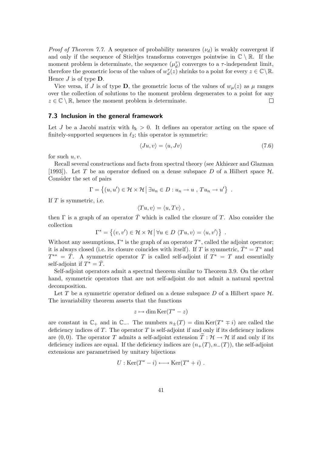*Proof of Theorem 7.7.* A sequence of probability measures  $(\nu_d)$  is weakly convergent if and only if the sequence of Stieltjes transforms converges pointwise in  $\mathbb{C} \setminus \mathbb{R}$ . If the moment problem is determinate, the sequence  $(\mu_d^{\tau})$  converges to a  $\tau$ -independent limit, therefore the geometric locus of the values of  $w_d^{\tau}(z)$  shrinks to a point for every  $z \in \mathbb{C} \setminus \mathbb{R}$ . Hence  $J$  is of type  $\mathbf{D}$ .

Vice versa, if J is of type **D**, the geometric locus of the values of  $w<sub>u</sub>(z)$  as  $\mu$  ranges over the collection of solutions to the moment problem degenerates to a point for any  $z \in \mathbb{C} \setminus \mathbb{R}$ , hence the moment problem is determinate.  $\Box$ 

#### 7.3 Inclusion in the general framework

Let J be a Jacobi matrix with  $b_k > 0$ . It defines an operator acting on the space of finitely-supported sequences in  $\ell_2$ ; this operator is symmetric:

$$
\langle Ju, v \rangle = \langle u, Jv \rangle \tag{7.6}
$$

for such  $u, v$ .

Recall several constructions and facts from spectral theory (see Akhiezer and Glazman [1993]). Let T be an operator defined on a dense subspace D of a Hilbert space  $\mathcal H$ . Consider the set of pairs

$$
\Gamma = \{(u, u') \in \mathcal{H} \times \mathcal{H} \mid \exists u_n \in D : u_n \to u , Tu_n \to u'\}.
$$

If  $T$  is symmetric, i.e.

$$
\langle Tu, v \rangle = \langle u, Tv \rangle ,
$$

then  $\Gamma$  is a graph of an operator  $\overline{T}$  which is called the closure of T. Also consider the collection

$$
\Gamma^* = \{(v, v') \in \mathcal{H} \times \mathcal{H} \mid \forall u \in D \, \langle Tu, v \rangle = \langle u, v' \rangle \} .
$$

Without any assumptions,  $\Gamma^*$  is the graph of an operator  $T^*$ , called the adjoint operator; it is always closed (i.e. its closure coincides with itself). If T is symmetric,  $\overline{T}^* = T^*$  and  $T^{**} = \overline{T}$ . A symmetric operator T is called self-adjoint if  $T^* = T$  and essentially self-adjoint if  $T^* = \overline{T}$ .

Self-adjoint operators admit a spectral theorem similar to Theorem 3.9. On the other hand, symmetric operators that are not self-adjoint do not admit a natural spectral decomposition.

Let T be a symmetric operator defined on a dense subspace D of a Hilbert space  $\mathcal{H}$ . The invariability theorem asserts that the functions

$$
z \mapsto \dim \text{Ker}(T^* - z)
$$

are constant in  $\mathbb{C}_+$  and in  $\mathbb{C}_-$ . The numbers  $n_{\pm}(T) = \dim \text{Ker}(T^* \mp i)$  are called the deficiency indices of  $T$ . The operator  $T$  is self-adjoint if and only if its deficiency indices are (0,0). The operator T admits a self-adjoint extension  $T: \mathcal{H} \to \mathcal{H}$  if and only if its deficiency indices are equal. If the deficiency indices are  $(n_{+}(T), n_{-}(T))$ , the self-adjoint extensions are parametrised by unitary bijections

$$
U: \text{Ker}(T^* - i) \longleftrightarrow \text{Ker}(T^* + i) .
$$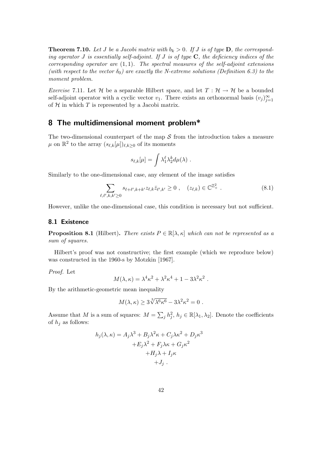**Theorem 7.10.** Let J be a Jacobi matrix with  $b_k > 0$ . If J is of type **D**, the corresponding operator J is essentially self-adjoint. If J is of type  $C$ , the deficiency indices of the corresponding operator are  $(1,1)$ . The spectral measures of the self-adjoint extensions (with respect to the vector  $\delta_0$ ) are exactly the N-extreme solutions (Definition 6.3) to the moment problem.

*Exercise* 7.11. Let H be a separable Hilbert space, and let  $T : \mathcal{H} \to \mathcal{H}$  be a bounded self-adjoint operator with a cyclic vector  $v_1$ . There exists an orthonormal basis  $(v_j)_{j=1}^{\infty}$ of  $H$  in which  $T$  is represented by a Jacobi matrix.

# 8 The multidimensional moment problem\*

The two-dimensional counterpart of the map  $S$  from the introduction takes a measure  $\mu$  on  $\mathbb{R}^2$  to the array  $(s_{\ell,k}[\mu])_{\ell,k\geq 0}$  of its moments

$$
s_{\ell,k}[\mu] = \int \lambda_1^{\ell} \lambda_2^{k} d\mu(\lambda) .
$$

Similarly to the one-dimensional case, any element of the image satisfies

$$
\sum_{\ell,\ell',k,k'\geq 0} s_{\ell+\ell',k+k'} z_{\ell,k} \bar{z}_{\ell',k'} \geq 0 , \quad (z_{\ell,k}) \in \mathbb{C}^{\mathbb{Z}_+^2} . \tag{8.1}
$$

However, unlike the one-dimensional case, this condition is necessary but not sufficient.

#### 8.1 Existence

**Proposition 8.1** (Hilbert). There exists  $P \in \mathbb{R}[\lambda, \kappa]$  which can not be represented as a sum of squares.

Hilbert's proof was not constructive; the first example (which we reproduce below) was constructed in the 1960-s by Motzkin [1967].

Proof. Let

$$
M(\lambda, \kappa) = \lambda^4 \kappa^2 + \lambda^2 \kappa^4 + 1 - 3\lambda^2 \kappa^2.
$$

By the arithmetic-geometric mean inequality

$$
M(\lambda, \kappa) \ge 3\sqrt[3]{\lambda^6 \kappa^6} - 3\lambda^2 \kappa^2 = 0.
$$

Assume that M is a sum of squares:  $M = \sum_j h_j^2$ ,  $h_j \in \mathbb{R}[\lambda_1, \lambda_2]$ . Denote the coefficients of  $h_i$  as follows:

$$
h_j(\lambda, \kappa) = A_j \lambda^3 + B_j \lambda^2 \kappa + C_j \lambda \kappa^2 + D_j \kappa^3
$$
  
+
$$
+ E_j \lambda^2 + F_j \lambda \kappa + G_j \kappa^2
$$
  
+
$$
+ H_j \lambda + I_j \kappa
$$
  
+
$$
+ J_j.
$$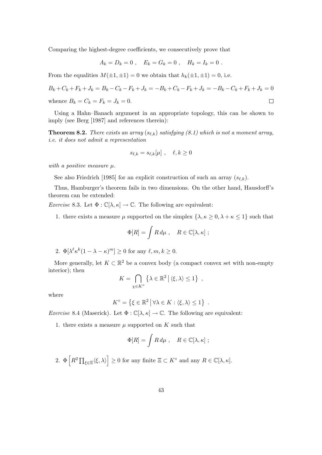Comparing the highest-degree coefficients, we consecutively prove that

$$
A_k = D_k = 0
$$
,  $E_k = G_k = 0$ ,  $H_k = I_k = 0$ .

From the equalities  $M(\pm 1, \pm 1) = 0$  we obtain that  $h_k(\pm 1, \pm 1) = 0$ , i.e.

$$
B_k + C_k + F_k + J_k = B_k - C_k - F_k + J_k = -B_k + C_k - F_k + J_k = -B_k - C_k + F_k + J_k = 0
$$
  
whence  $B_k = C_k = F_k = J_k = 0$ .

Using a Hahn–Banach argument in an appropriate topology, this can be shown to imply (see Berg [1987] and references therein):

**Theorem 8.2.** There exists an array  $(s_{\ell,k})$  satisfying (8.1) which is not a moment array, i.e. it does not admit a representation

$$
s_{\ell,k} = s_{\ell,k}[\mu] , \quad \ell,k \ge 0
$$

with a positive measure  $\mu$ .

See also Friedrich [1985] for an explicit construction of such an array  $(s_{\ell,k})$ .

Thus, Hamburger's theorem fails in two dimensions. On the other hand, Hausdorff's theorem can be extended:

*Exercise* 8.3. Let  $\Phi : \mathbb{C}[\lambda, \kappa] \to \mathbb{C}$ . The following are equivalent:

1. there exists a measure  $\mu$  supported on the simplex  $\{\lambda, \kappa \geq 0, \lambda + \kappa \leq 1\}$  such that

$$
\Phi[R] = \int R d\mu \ , \quad R \in \mathbb{C}[\lambda, \kappa] \ ;
$$

2.  $\Phi[\lambda^{\ell} \kappa^{k} (1 - \lambda - \kappa)^{m}] \geq 0$  for any  $\ell, m, k \geq 0$ .

More generally, let  $K \subset \mathbb{R}^2$  be a convex body (a compact convex set with non-empty interior); then

$$
K = \bigcap_{\chi \in K^{\circ}} \left\{ \lambda \in \mathbb{R}^2 \, \middle| \, \langle \xi, \lambda \rangle \le 1 \right\} ,
$$

where

$$
K^{\circ} = \left\{ \xi \in \mathbb{R}^2 \, \middle| \, \forall \lambda \in K : \langle \xi, \lambda \rangle \le 1 \right\}
$$

*Exercise* 8.4 (Maserick). Let  $\Phi : \mathbb{C}[\lambda, \kappa] \to \mathbb{C}$ . The following are equivalent:

1. there exists a measure  $\mu$  supported on  $K$  such that

$$
\Phi[R] = \int R d\mu \ , \quad R \in \mathbb{C}[\lambda, \kappa] \ ;
$$

.

2.  $\Phi\left[R^2\prod_{\xi\in\Xi}\langle \xi,\lambda\rangle\right]\geq 0$  for any finite  $\Xi\subset K^\circ$  and any  $R\in\mathbb{C}[\lambda,\kappa].$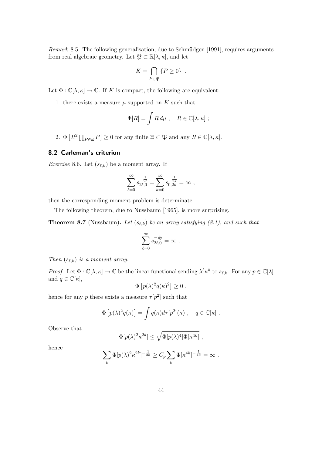*Remark* 8.5. The following generalisation, due to Schmüdgen  $[1991]$ , requires arguments from real algebraic geometry. Let  $\mathfrak{P} \subset \mathbb{R}[\lambda, \kappa]$ , and let

$$
K = \bigcap_{P \in \mathfrak{P}} \{P \ge 0\} .
$$

Let  $\Phi : \mathbb{C}[\lambda, \kappa] \to \mathbb{C}$ . If K is compact, the following are equivalent:

1. there exists a measure  $\mu$  supported on  $K$  such that

$$
\Phi[R] = \int R d\mu \ , \quad R \in \mathbb{C}[\lambda, \kappa] \ ;
$$

2.  $\Phi\left[R^2 \prod_{P \in \Xi} P\right] \ge 0$  for any finite  $\Xi \subset \mathfrak{P}$  and any  $R \in \mathbb{C}[\lambda, \kappa]$ .

#### 8.2 Carleman's criterion

*Exercise* 8.6. Let  $(s_{\ell,k})$  be a moment array. If

$$
\sum_{\ell=0}^{\infty} s_{2\ell,0}^{-\frac{1}{2\ell}} = \sum_{k=0}^{\infty} s_{0,2k}^{-\frac{1}{2k}} = \infty ,
$$

then the corresponding moment problem is determinate.

The following theorem, due to Nussbaum [1965], is more surprising.

**Theorem 8.7** (Nussbaum). Let  $(s_{\ell,k})$  be an array satisfying (8.1), and such that

$$
\sum_{\ell=0}^\infty s_{2\ell,0}^{-\frac{1}{2\ell}}=\infty\ .
$$

Then  $(s_{\ell,k})$  is a moment array.

*Proof.* Let  $\Phi : \mathbb{C}[\lambda, \kappa] \to \mathbb{C}$  be the linear functional sending  $\lambda^{\ell} \kappa^{k}$  to  $s_{\ell, k}$ . For any  $p \in \mathbb{C}[\lambda]$ and  $q \in \mathbb{C}[\kappa],$ 

$$
\Phi\left[p(\lambda)^2 q(\kappa)^2\right] \ge 0 ,
$$

hence for any p there exists a measure  $\tau[p^2]$  such that

$$
\Phi [p(\lambda)^2 q(\kappa)] = \int q(\kappa) d\tau [p^2](\kappa) , \quad q \in \mathbb{C}[\kappa].
$$

Observe that

$$
\Phi[p(\lambda)^2 \kappa^{2k}] \le \sqrt{\Phi[p(\lambda)^4] \Phi[\kappa^{4k}]} ,
$$

hence

$$
\sum_{k} \Phi[p(\lambda)^2 \kappa^{2k}]^{-\frac{1}{2k}} \geq C_p \sum_{k} \Phi[\kappa^{4k}]^{-\frac{1}{4k}} = \infty.
$$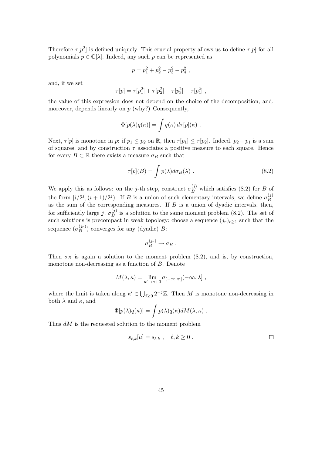Therefore  $\tau[p^2]$  is defined uniquely. This crucial property allows us to define  $\tau[p]$  for all polynomials  $p \in \mathbb{C}[\lambda]$ . Indeed, any such p can be represented as

$$
p = p_1^2 + p_2^2 - p_3^2 - p_4^2,
$$

and, if we set

$$
\tau[p] = \tau[p_1^2] + \tau[p_2^2] - \tau[p_3^2] - \tau[p_4^2],
$$

the value of this expression does not depend on the choice of the decomposition, and, moreover, depends linearly on  $p$  (why?) Consequently,

$$
\Phi[p(\lambda)q(\kappa)] = \int q(\kappa) d\tau[p](\kappa) .
$$

Next,  $\tau[p]$  is monotone in p: if  $p_1 \leq p_2$  on  $\mathbb{R}$ , then  $\tau[p_1] \leq \tau[p_2]$ . Indeed,  $p_2 - p_1$  is a sum of squares, and by construction  $\tau$  associates a positive measure to each square. Hence for every  $B \subset \mathbb{R}$  there exists a measure  $\sigma_B$  such that

$$
\tau[p](B) = \int p(\lambda) d\sigma_B(\lambda) . \qquad (8.2)
$$

We apply this as follows: on the j-th step, construct  $\sigma_B^{(j)}$  which satisfies (8.2) for B of the form  $[i/2^j, (i+1)/2^j]$ . If B is a union of such elementary intervals, we define  $\sigma_B^{(j)}$ B as the sum of the corresponding measures. If  $B$  is a union of dyadic intervals, then, for sufficiently large j,  $\sigma_B^{(j)}$  $B_B^{(j)}$  is a solution to the same moment problem  $(8.2)$ . The set of such solutions is precompact in weak topology; choose a sequence  $(j_r)_{r\geq 1}$  such that the sequence  $(\sigma_B^{(j_r)}$  $B(B^{(y_r)})$  converges for any (dyadic) B:

$$
\sigma_B^{(j_r)} \to \sigma_B .
$$

Then  $\sigma_B$  is again a solution to the moment problem (8.2), and is, by construction, monotone non-decreasing as a function of B. Denote

$$
M(\lambda, \kappa) = \lim_{\kappa' \to \kappa + 0} \sigma_{(-\infty, \kappa']}(-\infty, \lambda],
$$

where the limit is taken along  $\kappa' \in \bigcup_{j\geq 0} 2^{-j}\mathbb{Z}$ . Then M is monotone non-decreasing in both  $\lambda$  and  $\kappa$ , and

$$
\Phi[p(\lambda)q(\kappa)] = \int p(\lambda)q(\kappa)dM(\lambda,\kappa) .
$$

Thus  $dM$  is the requested solution to the moment problem

$$
s_{\ell,k}[\mu] = s_{\ell,k} , \quad \ell,k \ge 0 . \tag{}
$$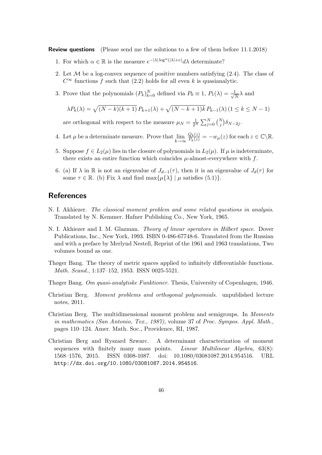Review questions (Please send me the solutions to a few of them before 11.1.2018)

- 1. For which  $\alpha \in \mathbb{R}$  is the measure  $e^{-|\lambda| \log^{\alpha}(|\lambda| + e)} d\lambda$  determinate?
- 2. Let  $M$  be a log-convex sequence of positive numbers satisfying  $(2.4)$ . The class of  $C^{\infty}$  functions f such that (2.2) holds for all even k is quasianalytic.
- 3. Prove that the polynomials  $(P_k)_{k=0}^N$  defined via  $P_0 \equiv 1, P_1(\lambda) = \frac{1}{\sqrt{\lambda}}$  $\frac{1}{\overline{N}}\lambda$  and

$$
\lambda P_k(\lambda) = \sqrt{(N-k)(k+1)} P_{k+1}(\lambda) + \sqrt{(N-k+1)k} P_{k-1}(\lambda) (1 \le k \le N-1)
$$

are orthogonal with respect to the measure  $\mu_N = \frac{1}{2^N} \sum_{j=0}^N {N \choose j} \delta_{N-2j}$ .

- 4. Let  $\mu$  be a determinate measure. Prove that  $\lim_{k \to \infty}$  $\frac{Q_k(z)}{P_k(z)} = -w_\mu(z)$  for each  $z \in \mathbb{C} \backslash \mathbb{R}$ .
- 5. Suppose  $f \in L_2(\mu)$  lies in the closure of polynomials in  $L_2(\mu)$ . If  $\mu$  is indeterminate, there exists an entire function which coincides  $\mu$ -almost-everywhere with f.
- 6. (a) If  $\lambda$  in R is not an eigenvalue of  $J_{d-1}(\tau)$ , then it is an eigenvalue of  $J_d(\tau)$  for some  $\tau \in \mathbb{R}$ . (b) Fix  $\lambda$  and find max $\{\mu\{\lambda\} \mid \mu \text{ satisfies (5.1)}\}.$

## **References**

- N. I. Akhiezer. The classical moment problem and some related questions in analysis. Translated by N. Kemmer. Hafner Publishing Co., New York, 1965.
- N. I. Akhiezer and I. M. Glazman. *Theory of linear operators in Hilbert space*. Dover Publications, Inc., New York, 1993. ISBN 0-486-67748-6. Translated from the Russian and with a preface by Merlynd Nestell, Reprint of the 1961 and 1963 translations, Two volumes bound as one.
- Thøger Bang. The theory of metric spaces applied to infinitely differentiable functions. Math. Scand., 1:137–152, 1953. ISSN 0025-5521.
- Thøger Bang. Om quasi-analytiske Funktioner. Thesis, University of Copenhagen, 1946.
- Christian Berg. Moment problems and orthogonal polynomials. unpublished lecture notes, 2011.
- Christian Berg. The multidimensional moment problem and semigroups. In Moments in mathematics (San Antonio, Tex., 1987), volume 37 of Proc. Sympos. Appl. Math., pages 110–124. Amer. Math. Soc., Providence, RI, 1987.
- Christian Berg and Ryszard Szwarc. A determinant characterization of moment sequences with finitely many mass points. *Linear Multilinear Algebra*,  $63(8)$ : 1568–1576, 2015. ISSN 0308-1087. doi: 10.1080/03081087.2014.954516. URL http://dx.doi.org/10.1080/03081087.2014.954516.